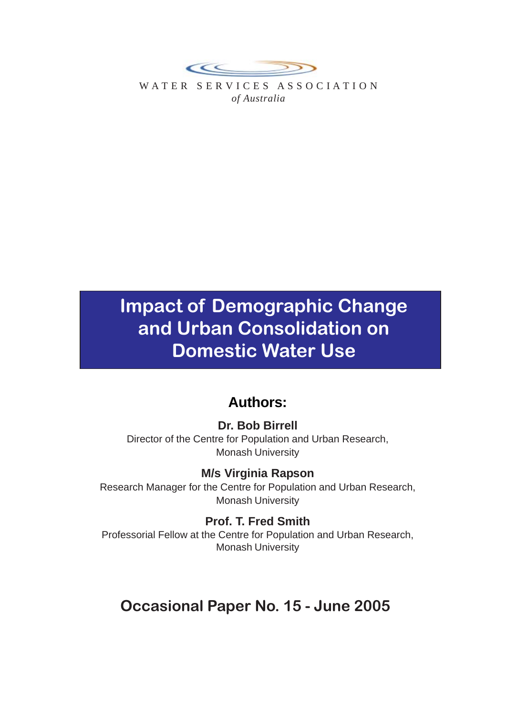

WATER SERVICES ASSOCIATION *of Australia*

## **Impact of Demographic Change and Urban Consolidation on Domestic Water Use**

## **Authors:**

### **Dr. Bob Birrell**

Director of the Centre for Population and Urban Research, Monash University

**M/s Virginia Rapson** Research Manager for the Centre for Population and Urban Research, Monash University

**Prof. T. Fred Smith** Professorial Fellow at the Centre for Population and Urban Research, Monash University

## **Occasional Paper No. 15 - June 2005**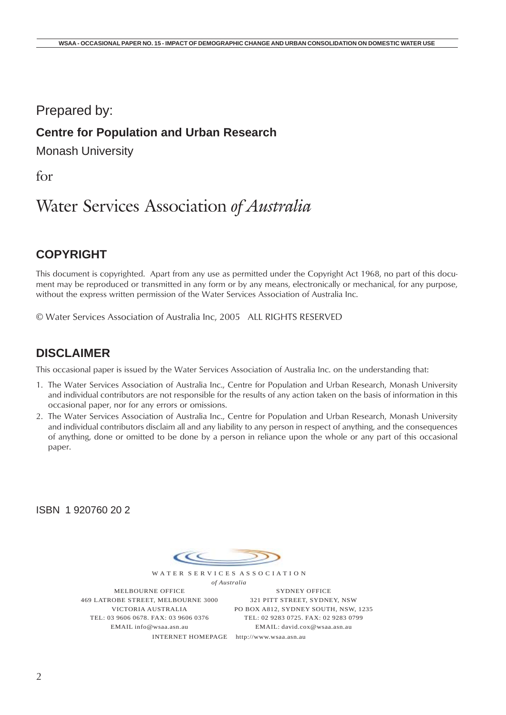### Prepared by:

### **Centre for Population and Urban Research**

Monash University

for

## Water Services Association *of Australia*

### **COPYRIGHT**

This document is copyrighted. Apart from any use as permitted under the Copyright Act 1968, no part of this document may be reproduced or transmitted in any form or by any means, electronically or mechanical, for any purpose, without the express written permission of the Water Services Association of Australia Inc.

© Water Services Association of Australia Inc, 2005 ALL RIGHTS RESERVED

### **DISCLAIMER**

This occasional paper is issued by the Water Services Association of Australia Inc. on the understanding that:

- 1. The Water Services Association of Australia Inc., Centre for Population and Urban Research, Monash University and individual contributors are not responsible for the results of any action taken on the basis of information in this occasional paper, nor for any errors or omissions.
- 2. The Water Services Association of Australia Inc., Centre for Population and Urban Research, Monash University and individual contributors disclaim all and any liability to any person in respect of anything, and the consequences of anything, done or omitted to be done by a person in reliance upon the whole or any part of this occasional paper.

ISBN 1 920760 20 2

 $\epsilon$ W A T E R S E R V I C E S A S S O C I A T I O N

*of Australia* MELBOURNE OFFICE 469 LATROBE STREET, MELBOURNE 3000 VICTORIA AUSTRALIA TEL: 03 9606 0678. FAX: 03 9606 0376 EMAIL info@wsaa.asn.au

SYDNEY OFFICE 321 PITT STREET, SYDNEY, NSW PO BOX A812, SYDNEY SOUTH, NSW, 1235 TEL: 02 9283 0725. FAX: 02 9283 0799 EMAIL: david.cox@wsaa.asn.au

INTERNET HOMEPAGE http://www.wsaa.asn.au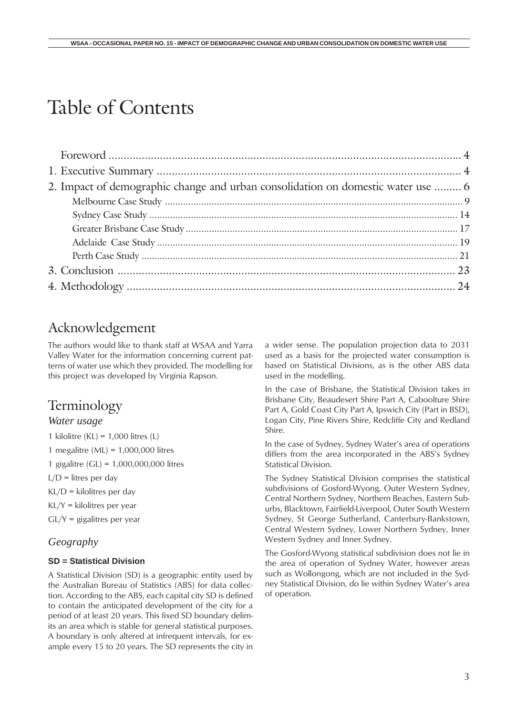# Table of Contents

| 2. Impact of demographic change and urban consolidation on domestic water use  6 |  |
|----------------------------------------------------------------------------------|--|
|                                                                                  |  |
|                                                                                  |  |
|                                                                                  |  |
|                                                                                  |  |
|                                                                                  |  |
|                                                                                  |  |
|                                                                                  |  |
|                                                                                  |  |

### Acknowledgement

The authors would like to thank staff at WSAA and Yarra Valley Water for the information concerning current patterns of water use which they provided. The modelling for this project was developed by Virginia Rapson.

### Terminology

#### *Water usage*

1 kilolitre (KL) =  $1,000$  litres (L)

1 megalitre (ML) = 1,000,000 litres

1 gigalitre (GL) = 1,000,000,000 litres

 $L/D =$  litres per day

 $KL/D =$  kilolitres per day

- KL/Y = kilolitres per year
- $GL/Y$  = gigalitres per year

#### *Geography*

#### **SD = Statistical Division**

A Statistical Division (SD) is a geographic entity used by the Australian Bureau of Statistics (ABS) for data collection. According to the ABS, each capital city SD is defined to contain the anticipated development of the city for a period of at least 20 years. This fixed SD boundary delimits an area which is stable for general statistical purposes. A boundary is only altered at infrequent intervals, for example every 15 to 20 years. The SD represents the city in a wider sense. The population projection data to 2031 used as a basis for the projected water consumption is based on Statistical Divisions, as is the other ABS data used in the modelling.

In the case of Brisbane, the Statistical Division takes in Brisbane City, Beaudesert Shire Part A, Caboolture Shire Part A, Gold Coast City Part A, Ipswich City (Part in BSD), Logan City, Pine Rivers Shire, Redcliffe City and Redland Shire.

In the case of Sydney, Sydney Water's area of operations differs from the area incorporated in the ABS's Sydney Statistical Division.

The Sydney Statistical Division comprises the statistical subdivisions of Gosford-Wyong, Outer Western Sydney, Central Northern Sydney, Northern Beaches, Eastern Suburbs, Blacktown, Fairfield-Liverpool, Outer South Western Sydney, St George Sutherland, Canterbury-Bankstown, Central Western Sydney, Lower Northern Sydney, Inner Western Sydney and Inner Sydney.

The Gosford-Wyong statistical subdivision does not lie in the area of operation of Sydney Water, however areas such as Wollongong, which are not included in the Sydney Statistical Division, do lie within Sydney Water's area of operation.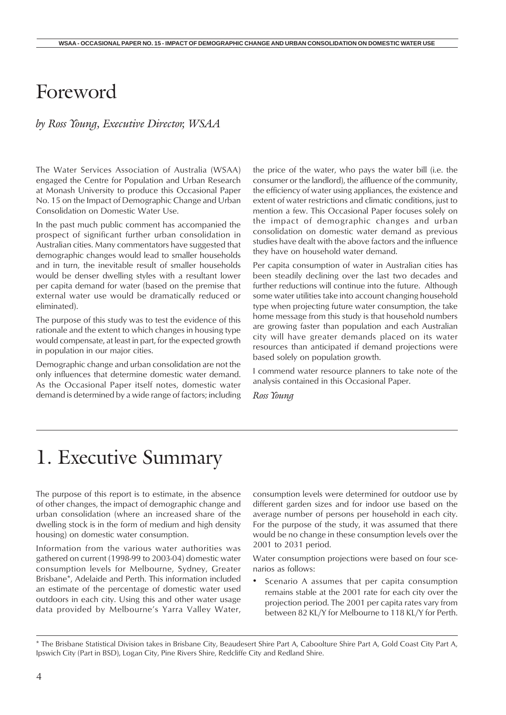## Foreword

#### *by Ross Young, Executive Director, WSAA*

The Water Services Association of Australia (WSAA) engaged the Centre for Population and Urban Research at Monash University to produce this Occasional Paper No. 15 on the Impact of Demographic Change and Urban Consolidation on Domestic Water Use.

In the past much public comment has accompanied the prospect of significant further urban consolidation in Australian cities. Many commentators have suggested that demographic changes would lead to smaller households and in turn, the inevitable result of smaller households would be denser dwelling styles with a resultant lower per capita demand for water (based on the premise that external water use would be dramatically reduced or eliminated).

The purpose of this study was to test the evidence of this rationale and the extent to which changes in housing type would compensate, at least in part, for the expected growth in population in our major cities.

Demographic change and urban consolidation are not the only influences that determine domestic water demand. As the Occasional Paper itself notes, domestic water demand is determined by a wide range of factors; including the price of the water, who pays the water bill (i.e. the consumer or the landlord), the affluence of the community, the efficiency of water using appliances, the existence and extent of water restrictions and climatic conditions, just to mention a few. This Occasional Paper focuses solely on the impact of demographic changes and urban consolidation on domestic water demand as previous studies have dealt with the above factors and the influence they have on household water demand.

Per capita consumption of water in Australian cities has been steadily declining over the last two decades and further reductions will continue into the future. Although some water utilities take into account changing household type when projecting future water consumption, the take home message from this study is that household numbers are growing faster than population and each Australian city will have greater demands placed on its water resources than anticipated if demand projections were based solely on population growth.

I commend water resource planners to take note of the analysis contained in this Occasional Paper.

*Ross Young*

## 1. Executive Summary

The purpose of this report is to estimate, in the absence of other changes, the impact of demographic change and urban consolidation (where an increased share of the dwelling stock is in the form of medium and high density housing) on domestic water consumption.

Information from the various water authorities was gathered on current (1998-99 to 2003-04) domestic water consumption levels for Melbourne, Sydney, Greater Brisbane\*, Adelaide and Perth. This information included an estimate of the percentage of domestic water used outdoors in each city. Using this and other water usage data provided by Melbourne's Yarra Valley Water, consumption levels were determined for outdoor use by different garden sizes and for indoor use based on the average number of persons per household in each city. For the purpose of the study, it was assumed that there would be no change in these consumption levels over the 2001 to 2031 period.

Water consumption projections were based on four scenarios as follows:

Scenario A assumes that per capita consumption remains stable at the 2001 rate for each city over the projection period. The 2001 per capita rates vary from between 82 KL/Y for Melbourne to 118 KL/Y for Perth.

<sup>\*</sup> The Brisbane Statistical Division takes in Brisbane City, Beaudesert Shire Part A, Caboolture Shire Part A, Gold Coast City Part A, Ipswich City (Part in BSD), Logan City, Pine Rivers Shire, Redcliffe City and Redland Shire.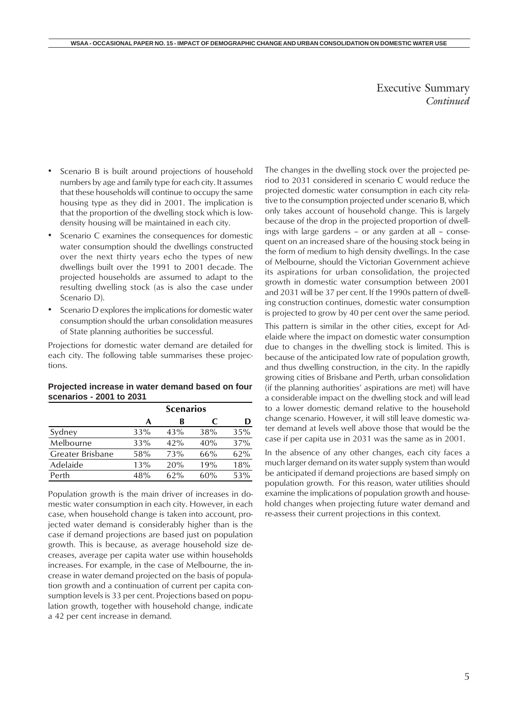#### Executive Summary *Continued*

- <span id="page-4-0"></span>Scenario B is built around projections of household numbers by age and family type for each city. It assumes that these households will continue to occupy the same housing type as they did in 2001. The implication is that the proportion of the dwelling stock which is lowdensity housing will be maintained in each city.
- Scenario C examines the consequences for domestic water consumption should the dwellings constructed over the next thirty years echo the types of new dwellings built over the 1991 to 2001 decade. The projected households are assumed to adapt to the resulting dwelling stock (as is also the case under Scenario D).
- Scenario D explores the implications for domestic water consumption should the urban consolidation measures of State planning authorities be successful.

Projections for domestic water demand are detailed for each city. The following table summarises these projections.

#### **Projected increase in water demand based on four scenarios - 2001 to 2031**

|                  | <b>Scenarios</b> |        |     |     |
|------------------|------------------|--------|-----|-----|
|                  | А                | в      | C   | D   |
| Sydney           | 33%              | 43%    | 38% | 35% |
| Melbourne        | 33%              | 42%    | 40% | 37% |
| Greater Brisbane | 58%              | 73%    | 66% | 62% |
| Adelaide         | 13%              | 20%    | 19% | 18% |
| Perth            | 48%              | $62\%$ | 60% | 53% |

Population growth is the main driver of increases in domestic water consumption in each city. However, in each case, when household change is taken into account, projected water demand is considerably higher than is the case if demand projections are based just on population growth. This is because, as average household size decreases, average per capita water use within households increases. For example, in the case of Melbourne, the increase in water demand projected on the basis of population growth and a continuation of current per capita consumption levels is 33 per cent. Projections based on population growth, together with household change, indicate a 42 per cent increase in demand.

The changes in the dwelling stock over the projected period to 2031 considered in scenario C would reduce the projected domestic water consumption in each city relative to the consumption projected under scenario B, which only takes account of household change. This is largely because of the drop in the projected proportion of dwellings with large gardens – or any garden at all – consequent on an increased share of the housing stock being in the form of medium to high density dwellings. In the case of Melbourne, should the Victorian Government achieve its aspirations for urban consolidation, the projected growth in domestic water consumption between 2001 and 2031 will be 37 per cent. If the 1990s pattern of dwelling construction continues, domestic water consumption is projected to grow by 40 per cent over the same period.

This pattern is similar in the other cities, except for Adelaide where the impact on domestic water consumption due to changes in the dwelling stock is limited. This is because of the anticipated low rate of population growth, and thus dwelling construction, in the city. In the rapidly growing cities of Brisbane and Perth, urban consolidation (if the planning authorities' aspirations are met) will have a considerable impact on the dwelling stock and will lead to a lower domestic demand relative to the household change scenario. However, it will still leave domestic water demand at levels well above those that would be the case if per capita use in 2031 was the same as in 2001.

In the absence of any other changes, each city faces a much larger demand on its water supply system than would be anticipated if demand projections are based simply on population growth. For this reason, water utilities should examine the implications of population growth and household changes when projecting future water demand and re-assess their current projections in this context.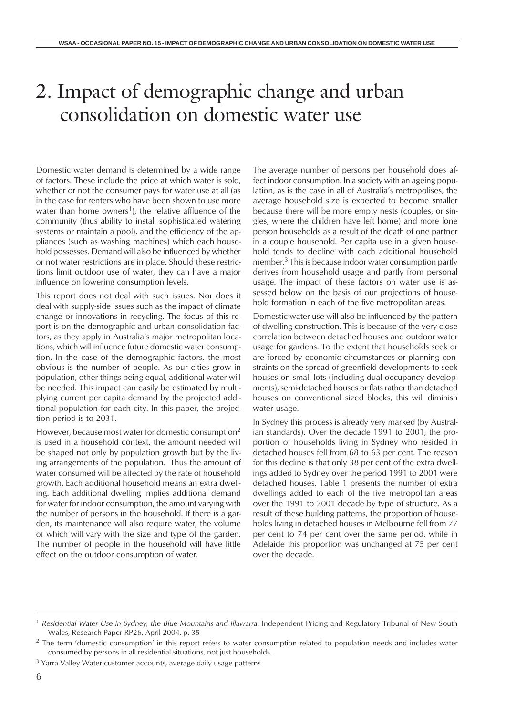# 2. Impact of demographic change and urban consolidation on domestic water use

Domestic water demand is determined by a wide range of factors. These include the price at which water is sold, whether or not the consumer pays for water use at all (as in the case for renters who have been shown to use more water than home owners<sup>1</sup>), the relative affluence of the community (thus ability to install sophisticated watering systems or maintain a pool), and the efficiency of the appliances (such as washing machines) which each household possesses. Demand will also be influenced by whether or not water restrictions are in place. Should these restrictions limit outdoor use of water, they can have a major influence on lowering consumption levels.

This report does not deal with such issues. Nor does it deal with supply-side issues such as the impact of climate change or innovations in recycling. The focus of this report is on the demographic and urban consolidation factors, as they apply in Australia's major metropolitan locations, which will influence future domestic water consumption. In the case of the demographic factors, the most obvious is the number of people. As our cities grow in population, other things being equal, additional water will be needed. This impact can easily be estimated by multiplying current per capita demand by the projected additional population for each city. In this paper, the projection period is to 2031.

However, because most water for domestic consumption<sup>2</sup> is used in a household context, the amount needed will be shaped not only by population growth but by the living arrangements of the population. Thus the amount of water consumed will be affected by the rate of household growth. Each additional household means an extra dwelling. Each additional dwelling implies additional demand for water for indoor consumption, the amount varying with the number of persons in the household. If there is a garden, its maintenance will also require water, the volume of which will vary with the size and type of the garden. The number of people in the household will have little effect on the outdoor consumption of water.

The average number of persons per household does affect indoor consumption. In a society with an ageing population, as is the case in all of Australia's metropolises, the average household size is expected to become smaller because there will be more empty nests (couples, or singles, where the children have left home) and more lone person households as a result of the death of one partner in a couple household. Per capita use in a given household tends to decline with each additional household member. $3$  This is because indoor water consumption partly derives from household usage and partly from personal usage. The impact of these factors on water use is assessed below on the basis of our projections of household formation in each of the five metropolitan areas.

Domestic water use will also be influenced by the pattern of dwelling construction. This is because of the very close correlation between detached houses and outdoor water usage for gardens. To the extent that households seek or are forced by economic circumstances or planning constraints on the spread of greenfield developments to seek houses on small lots (including dual occupancy developments), semi-detached houses or flats rather than detached houses on conventional sized blocks, this will diminish water usage.

In Sydney this process is already very marked (by Australian standards). Over the decade 1991 to 2001, the proportion of households living in Sydney who resided in detached houses fell from 68 to 63 per cent. The reason for this decline is that only 38 per cent of the extra dwellings added to Sydney over the period 1991 to 2001 were detached houses. Table 1 presents the number of extra dwellings added to each of the five metropolitan areas over the 1991 to 2001 decade by type of structure. As a result of these building patterns, the proportion of households living in detached houses in Melbourne fell from 77 per cent to 74 per cent over the same period, while in Adelaide this proportion was unchanged at 75 per cent over the decade.

<sup>1</sup> *Residential Water Use in Sydney, the Blue Mountains and Illawarra*, Independent Pricing and Regulatory Tribunal of New South Wales, Research Paper RP26, April 2004, p. 35

<sup>&</sup>lt;sup>2</sup> The term 'domestic consumption' in this report refers to water consumption related to population needs and includes water consumed by persons in all residential situations, not just households.

<sup>&</sup>lt;sup>3</sup> Yarra Valley Water customer accounts, average daily usage patterns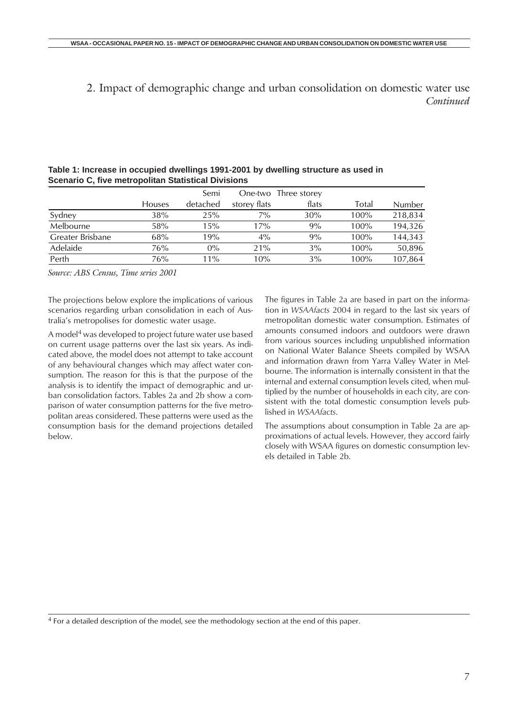<span id="page-6-0"></span>2. Impact of demographic change and urban consolidation on domestic water use *Continued*

|                  |               | Semi     | One-two      | Three storey |         |         |
|------------------|---------------|----------|--------------|--------------|---------|---------|
|                  | <b>Houses</b> | detached | storey flats | flats        | Total   | Number  |
| Sydney           | 38%           | 25%      | 7%           | 30%          | 100%    | 218,834 |
| Melbourne        | 58%           | 15%      | 17%          | 9%           | 100%    | 194,326 |
| Greater Brisbane | 68%           | 19%      | $4\%$        | 9%           | 100%    | 144,343 |
| Adelaide         | 76%           | $0\%$    | 21%          | 3%           | 100%    | 50,896  |
| Perth            | 76%           | $11\%$   | 10%          | 3%           | $100\%$ | 107,864 |

#### **Table 1: Increase in occupied dwellings 1991-2001 by dwelling structure as used in Scenario C, five metropolitan Statistical Divisions**

*Source: ABS Census, Time series 2001*

The projections below explore the implications of various scenarios regarding urban consolidation in each of Australia's metropolises for domestic water usage.

A model<sup>4</sup> was developed to project future water use based on current usage patterns over the last six years. As indicated above, the model does not attempt to take account of any behavioural changes which may affect water consumption. The reason for this is that the purpose of the analysis is to identify the impact of demographic and urban consolidation factors. Tables 2a and 2b show a comparison of water consumption patterns for the five metropolitan areas considered. These patterns were used as the consumption basis for the demand projections detailed below.

The figures in Table 2a are based in part on the information in *WSAAfacts* 2004 in regard to the last six years of metropolitan domestic water consumption. Estimates of amounts consumed indoors and outdoors were drawn from various sources including unpublished information on National Water Balance Sheets compiled by WSAA and information drawn from Yarra Valley Water in Melbourne. The information is internally consistent in that the internal and external consumption levels cited, when multiplied by the number of households in each city, are consistent with the total domestic consumption levels published in *WSAAfacts*.

The assumptions about consumption in Table 2a are approximations of actual levels. However, they accord fairly closely with WSAA figures on domestic consumption levels detailed in Table 2b.

<sup>4</sup> For a detailed description of the model, see the methodology section at the end of this paper.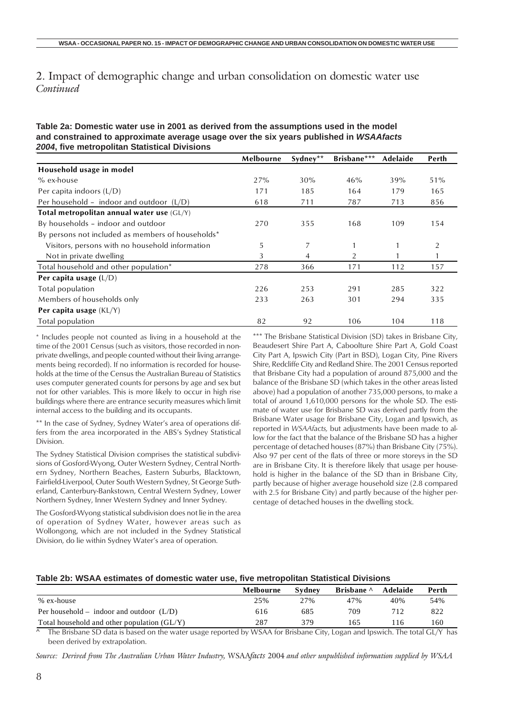2. Impact of demographic change and urban consolidation on domestic water use *Continued*

| Table 2a: Domestic water use in 2001 as derived from the assumptions used in the model |  |
|----------------------------------------------------------------------------------------|--|
| and constrained to approximate average usage over the six years published in WSAAfacts |  |
| 2004, five metropolitan Statistical Divisions                                          |  |

|                                                   | Melbourne | Sydney** | Brisbane*** | Adelaide | Perth          |
|---------------------------------------------------|-----------|----------|-------------|----------|----------------|
| Household usage in model                          |           |          |             |          |                |
| $%$ ex-house                                      | 27%       | 30%      | 46%         | 39%      | 51%            |
| Per capita indoors $(L/D)$                        | 171       | 185      | 164         | 179      | 165            |
| Per household - indoor and outdoor $(L/D)$        | 618       | 711      | 787         | 713      | 856            |
| Total metropolitan annual water use $(GL/Y)$      |           |          |             |          |                |
| By households – indoor and outdoor                | 270       | 355      | 168         | 109      | 154            |
| By persons not included as members of households* |           |          |             |          |                |
| Visitors, persons with no household information   | 5         | 7        |             |          | $\overline{2}$ |
| Not in private dwelling                           | 3         | 4        | 2           |          |                |
| Total household and other population*             | 278       | 366      | 171         | 112      | 157            |
| Per capita usage $(L/D)$                          |           |          |             |          |                |
| Total population                                  | 226       | 253      | 291         | 285      | 322            |
| Members of households only                        | 233       | 263      | 301         | 294      | 335            |
| Per capita usage (KL/Y)                           |           |          |             |          |                |
| Total population                                  | 82        | 92       | 106         | 104      | 118            |

\* Includes people not counted as living in a household at the time of the 2001 Census (such as visitors, those recorded in nonprivate dwellings, and people counted without their living arrangements being recorded). If no information is recorded for households at the time of the Census the Australian Bureau of Statistics uses computer generated counts for persons by age and sex but not for other variables. This is more likely to occur in high rise buildings where there are entrance security measures which limit internal access to the building and its occupants.

\*\* In the case of Sydney, Sydney Water's area of operations differs from the area incorporated in the ABS's Sydney Statistical Division.

The Sydney Statistical Division comprises the statistical subdivisions of Gosford-Wyong, Outer Western Sydney, Central Northern Sydney, Northern Beaches, Eastern Suburbs, Blacktown, Fairfield-Liverpool, Outer South Western Sydney, St George Sutherland, Canterbury-Bankstown, Central Western Sydney, Lower Northern Sydney, Inner Western Sydney and Inner Sydney.

The Gosford-Wyong statistical subdivision does not lie in the area of operation of Sydney Water, however areas such as Wollongong, which are not included in the Sydney Statistical Division, do lie within Sydney Water's area of operation.

\*\*\* The Brisbane Statistical Division (SD) takes in Brisbane City, Beaudesert Shire Part A, Caboolture Shire Part A, Gold Coast City Part A, Ipswich City (Part in BSD), Logan City, Pine Rivers Shire, Redcliffe City and Redland Shire. The 2001 Census reported that Brisbane City had a population of around 875,000 and the balance of the Brisbane SD (which takes in the other areas listed above) had a population of another 735,000 persons, to make a total of around 1,610,000 persons for the whole SD. The estimate of water use for Brisbane SD was derived partly from the Brisbane Water usage for Brisbane City, Logan and Ipswich, as reported in *WSAAfacts,* but adjustments have been made to allow for the fact that the balance of the Brisbane SD has a higher percentage of detached houses (87%) than Brisbane City (75%). Also 97 per cent of the flats of three or more storeys in the SD are in Brisbane City. It is therefore likely that usage per household is higher in the balance of the SD than in Brisbane City, partly because of higher average household size (2.8 compared with 2.5 for Brisbane City) and partly because of the higher percentage of detached houses in the dwelling stock.

#### **Table 2b: WSAA estimates of domestic water use, five metropolitan Statistical Divisions**

|                                               | Melbourne | Svdnev | Brisbane ^ | Adelaide | Perth |
|-----------------------------------------------|-----------|--------|------------|----------|-------|
| % ex-house                                    | 25%       | 27%    | 47%        | 40%      | 54%   |
| Per household – indoor and outdoor $(L/D)$    | 616       | 685    | 709        | 712      | 822   |
| Total household and other population $(GL/Y)$ | 287       | 379    | 165        | 16       | 160   |

The Brisbane SD data is based on the water usage reported by WSAA for Brisbane City, Logan and Ipswich. The total GL/Y has been derived by extrapolation.

*Source: Derived from The Australian Urban Water Industry,* WSAA*facts* 2004 *and other unpublished information supplied by WSAA*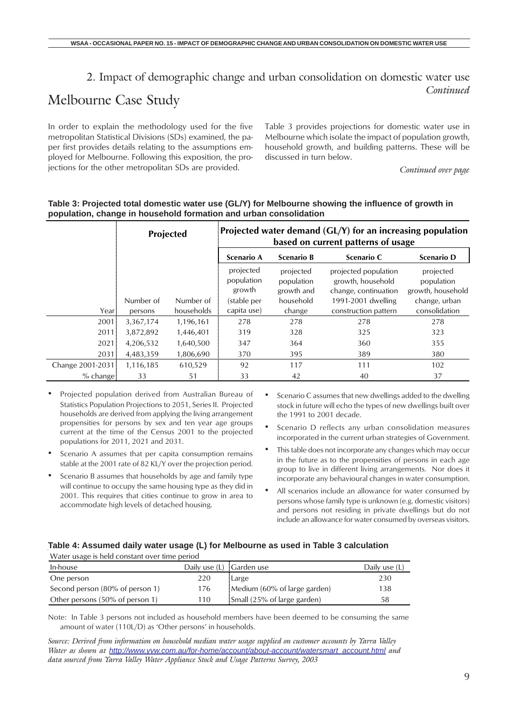### 2. Impact of demographic change and urban consolidation on domestic water use *Continued*

## Melbourne Case Study

In order to explain the methodology used for the five metropolitan Statistical Divisions (SDs) examined, the paper first provides details relating to the assumptions employed for Melbourne. Following this exposition, the projections for the other metropolitan SDs are provided.

Table 3 provides projections for domestic water use in Melbourne which isolate the impact of population growth, household growth, and building patterns. These will be discussed in turn below.

*Continued over page*

|                  | Projected |            |                                   |                                       | Projected water demand $(GL/Y)$ for an increasing population<br>based on current patterns of usage |                                              |
|------------------|-----------|------------|-----------------------------------|---------------------------------------|----------------------------------------------------------------------------------------------------|----------------------------------------------|
|                  |           |            | <b>Scenario A</b>                 | <b>Scenario B</b>                     | Scenario C                                                                                         | <b>Scenario D</b>                            |
|                  |           |            | projected<br>population<br>growth | projected<br>population<br>growth and | projected population<br>growth, household<br>change, continuation                                  | projected<br>population<br>growth, household |
|                  | Number of | Number of  | (stable per                       | household                             | 1991-2001 dwelling                                                                                 | change, urban                                |
| Year             | persons   | households | capita use)                       | change                                | construction pattern                                                                               | consolidation                                |
| 2001             | 3,367,174 | 1,196,161  | 278                               | 278                                   | 278                                                                                                | 278                                          |
| 2011             | 3,872,892 | 1,446,401  | 319                               | 328                                   | 325                                                                                                | 323                                          |
| 2021             | 4,206,532 | 1,640,500  | 347                               | 364                                   | 360                                                                                                | 355                                          |
| $2031 -$         | 4,483,359 | 1,806,690  | 370                               | 395                                   | 389                                                                                                | 380                                          |
| Change 2001-2031 | 1.116.185 | 610.529    | 92                                | 117                                   | 111                                                                                                | 102                                          |
| $%$ change       | 33        | 51         | 33                                | 42                                    | 40                                                                                                 | 37                                           |

#### **Table 3: Projected total domestic water use (GL/Y) for Melbourne showing the influence of growth in population, change in household formation and urban consolidation**

- Projected population derived from Australian Bureau of Statistics Population Projections to 2051, Series II. Projected households are derived from applying the living arrangement propensities for persons by sex and ten year age groups current at the time of the Census 2001 to the projected populations for 2011, 2021 and 2031.
- Scenario A assumes that per capita consumption remains stable at the 2001 rate of 82 KL/Y over the projection period.
- Scenario B assumes that households by age and family type will continue to occupy the same housing type as they did in 2001. This requires that cities continue to grow in area to accommodate high levels of detached housing.
- Scenario C assumes that new dwellings added to the dwelling stock in future will echo the types of new dwellings built over the 1991 to 2001 decade.
- Scenario D reflects any urban consolidation measures incorporated in the current urban strategies of Government.
- This table does not incorporate any changes which may occur in the future as to the propensities of persons in each age group to live in different living arrangements. Nor does it incorporate any behavioural changes in water consumption.
- All scenarios include an allowance for water consumed by persons whose family type is unknown (e.g. domestic visitors) and persons not residing in private dwellings but do not include an allowance for water consumed by overseas visitors.

#### **Table 4: Assumed daily water usage (L) for Melbourne as used in Table 3 calculation**

Water usage is held constant over time period

| In-house                        | Daily use (L) : Garden use |                              | Dailv use (L' |
|---------------------------------|----------------------------|------------------------------|---------------|
| One person                      | 220                        | Large                        | 230           |
| Second person (80% of person 1) | 176                        | Medium (60% of large garden) | 138           |
| Other persons (50% of person 1) | 110                        | Small (25% of large garden)  | 58            |

Note: In Table 3 persons not included as household members have been deemed to be consuming the same amount of water (110L/D) as 'Other persons' in households.

*Source: Derived from information on household median water usage supplied on customer accounts by Yarra Valley Water as shown at http://www.yvw.com.au/for-home/account/about-account/watersmart\_account.html and data sourced from Yarra Valley Water Appliance Stock and Usage Patterns Survey, 2003*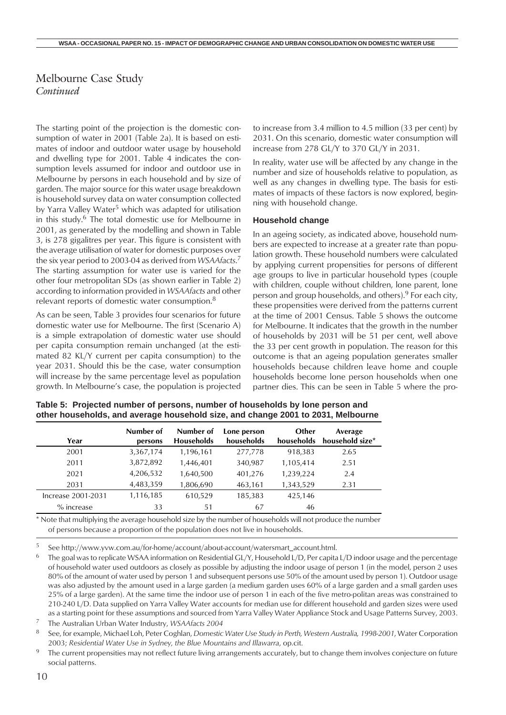The starting point of the projection is the domestic consumption of water in 2001 (Table 2a). It is based on estimates of indoor and outdoor water usage by household and dwelling type for 2001. Table 4 indicates the consumption levels assumed for indoor and outdoor use in Melbourne by persons in each household and by size of garden. The major source for this water usage breakdown is household survey data on water consumption collected by Yarra Valley Water<sup>5</sup> which was adapted for utilisation in this study.6 The total domestic use for Melbourne in 2001, as generated by the modelling and shown in Table 3, is 278 gigalitres per year. This figure is consistent with the average utilisation of water for domestic purposes over the six year period to 2003-04 as derived from *WSAAfacts*. 7 The starting assumption for water use is varied for the other four metropolitan SDs (as shown earlier in Table 2) according to information provided in *WSAAfacts* and other relevant reports of domestic water consumption.<sup>8</sup>

As can be seen, Table 3 provides four scenarios for future domestic water use for Melbourne. The first (Scenario A) is a simple extrapolation of domestic water use should per capita consumption remain unchanged (at the estimated 82 KL/Y current per capita consumption) to the year 2031. Should this be the case, water consumption will increase by the same percentage level as population growth. In Melbourne's case, the population is projected to increase from 3.4 million to 4.5 million (33 per cent) by 2031. On this scenario, domestic water consumption will increase from 278 GL/Y to 370 GL/Y in 2031.

In reality, water use will be affected by any change in the number and size of households relative to population, as well as any changes in dwelling type. The basis for estimates of impacts of these factors is now explored, beginning with household change.

#### **Household change**

In an ageing society, as indicated above, household numbers are expected to increase at a greater rate than population growth. These household numbers were calculated by applying current propensities for persons of different age groups to live in particular household types (couple with children, couple without children, lone parent, lone person and group households, and others).9 For each city, these propensities were derived from the patterns current at the time of 2001 Census. Table 5 shows the outcome for Melbourne. It indicates that the growth in the number of households by 2031 will be 51 per cent, well above the 33 per cent growth in population. The reason for this outcome is that an ageing population generates smaller households because children leave home and couple households become lone person households when one partner dies. This can be seen in Table 5 where the pro-

| Year               | Number of<br>persons | Number of<br><b>Households</b> | Lone person<br>households | Other<br>households | Average<br>household size* |
|--------------------|----------------------|--------------------------------|---------------------------|---------------------|----------------------------|
| 2001               | 3,367,174            | 1,196,161                      | 277,778                   | 918.383             | 2.65                       |
| 2011               | 3,872,892            | 1.446.401                      | 340,987                   | 1,105,414           | 2.51                       |
| 2021               | 4,206,532            | 1,640,500                      | 401,276                   | 1,239,224           | 2.4                        |
| 2031               | 4,483,359            | 1,806,690                      | 463,161                   | 1,343,529           | 2.31                       |
| Increase 2001-2031 | 1,116,185            | 610,529                        | 185,383                   | 425,146             |                            |
| $%$ increase       | 33                   | 51                             | 67                        | 46                  |                            |

**Table 5: Projected number of persons, number of households by lone person and other households, and average household size, and change 2001 to 2031, Melbourne**

\* Note that multiplying the average household size by the number of households will not produce the number of persons because a proportion of the population does not live in households.

<sup>5</sup> See http://www.yvw.com.au/for-home/account/about-account/watersmart\_account.html.

<sup>6</sup> The goal was to replicate WSAA information on Residential GL/Y, Household L/D, Per capita L/D indoor usage and the percentage of household water used outdoors as closely as possible by adjusting the indoor usage of person 1 (in the model, person 2 uses 80% of the amount of water used by person 1 and subsequent persons use 50% of the amount used by person 1). Outdoor usage was also adjusted by the amount used in a large garden (a medium garden uses 60% of a large garden and a small garden uses 25% of a large garden). At the same time the indoor use of person 1 in each of the five metro-politan areas was constrained to 210-240 L/D. Data supplied on Yarra Valley Water accounts for median use for different household and garden sizes were used as a starting point for these assumptions and sourced from Yarra Valley Water Appliance Stock and Usage Patterns Survey, 2003.

<sup>7</sup> The Australian Urban Water Industry, *WSAAfacts 2004*

<sup>8</sup> See, for example, Michael Loh, Peter Coghlan, *Domestic Water Use Study in Perth, Western Australia, 1998-2001*, Water Corporation 2003; *Residential Water Use in Sydney, the Blue Mountains and Illawarra*, op.cit.

<sup>9</sup> The current propensities may not reflect future living arrangements accurately, but to change them involves conjecture on future social patterns.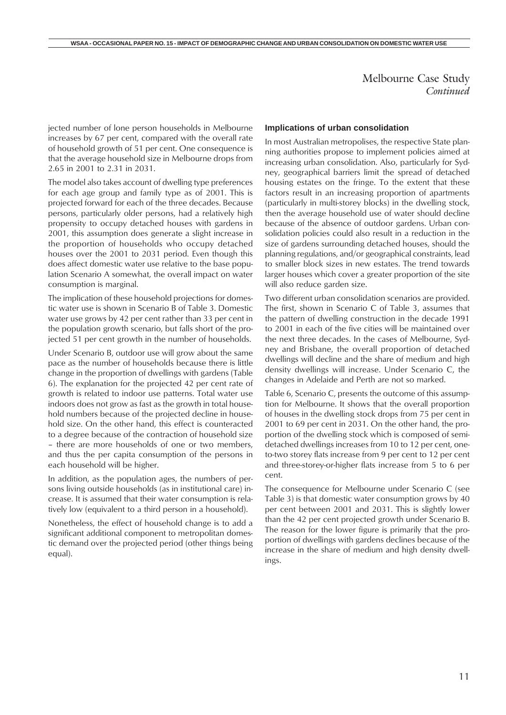jected number of lone person households in Melbourne increases by 67 per cent, compared with the overall rate of household growth of 51 per cent. One consequence is that the average household size in Melbourne drops from 2.65 in 2001 to 2.31 in 2031.

The model also takes account of dwelling type preferences for each age group and family type as of 2001. This is projected forward for each of the three decades. Because persons, particularly older persons, had a relatively high propensity to occupy detached houses with gardens in 2001, this assumption does generate a slight increase in the proportion of households who occupy detached houses over the 2001 to 2031 period. Even though this does affect domestic water use relative to the base population Scenario A somewhat, the overall impact on water consumption is marginal.

The implication of these household projections for domestic water use is shown in Scenario B of Table 3. Domestic water use grows by 42 per cent rather than 33 per cent in the population growth scenario, but falls short of the projected 51 per cent growth in the number of households.

Under Scenario B, outdoor use will grow about the same pace as the number of households because there is little change in the proportion of dwellings with gardens (Table 6). The explanation for the projected 42 per cent rate of growth is related to indoor use patterns. Total water use indoors does not grow as fast as the growth in total household numbers because of the projected decline in household size. On the other hand, this effect is counteracted to a degree because of the contraction of household size – there are more households of one or two members, and thus the per capita consumption of the persons in each household will be higher.

In addition, as the population ages, the numbers of persons living outside households (as in institutional care) increase. It is assumed that their water consumption is relatively low (equivalent to a third person in a household).

Nonetheless, the effect of household change is to add a significant additional component to metropolitan domestic demand over the projected period (other things being equal).

#### **Implications of urban consolidation**

In most Australian metropolises, the respective State planning authorities propose to implement policies aimed at increasing urban consolidation. Also, particularly for Sydney, geographical barriers limit the spread of detached housing estates on the fringe. To the extent that these factors result in an increasing proportion of apartments (particularly in multi-storey blocks) in the dwelling stock, then the average household use of water should decline because of the absence of outdoor gardens. Urban consolidation policies could also result in a reduction in the size of gardens surrounding detached houses, should the planning regulations, and/or geographical constraints, lead to smaller block sizes in new estates. The trend towards larger houses which cover a greater proportion of the site will also reduce garden size.

Two different urban consolidation scenarios are provided. The first, shown in Scenario C of Table 3, assumes that the pattern of dwelling construction in the decade 1991 to 2001 in each of the five cities will be maintained over the next three decades. In the cases of Melbourne, Sydney and Brisbane, the overall proportion of detached dwellings will decline and the share of medium and high density dwellings will increase. Under Scenario C, the changes in Adelaide and Perth are not so marked.

Table 6, Scenario C, presents the outcome of this assumption for Melbourne. It shows that the overall proportion of houses in the dwelling stock drops from 75 per cent in 2001 to 69 per cent in 2031. On the other hand, the proportion of the dwelling stock which is composed of semidetached dwellings increases from 10 to 12 per cent, oneto-two storey flats increase from 9 per cent to 12 per cent and three-storey-or-higher flats increase from 5 to 6 per cent.

The consequence for Melbourne under Scenario C (see Table 3) is that domestic water consumption grows by 40 per cent between 2001 and 2031. This is slightly lower than the 42 per cent projected growth under Scenario B. The reason for the lower figure is primarily that the proportion of dwellings with gardens declines because of the increase in the share of medium and high density dwellings.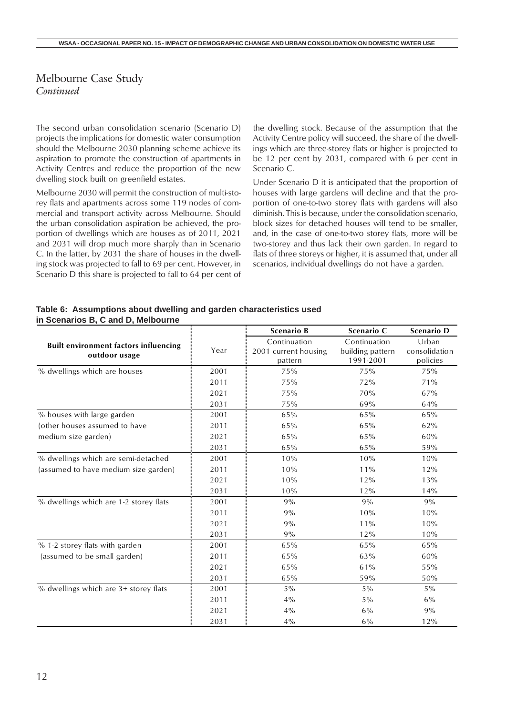The second urban consolidation scenario (Scenario D) projects the implications for domestic water consumption should the Melbourne 2030 planning scheme achieve its aspiration to promote the construction of apartments in Activity Centres and reduce the proportion of the new dwelling stock built on greenfield estates.

Melbourne 2030 will permit the construction of multi-storey flats and apartments across some 119 nodes of commercial and transport activity across Melbourne. Should the urban consolidation aspiration be achieved, the proportion of dwellings which are houses as of 2011, 2021 and 2031 will drop much more sharply than in Scenario C. In the latter, by 2031 the share of houses in the dwelling stock was projected to fall to 69 per cent. However, in Scenario D this share is projected to fall to 64 per cent of the dwelling stock. Because of the assumption that the Activity Centre policy will succeed, the share of the dwellings which are three-storey flats or higher is projected to be 12 per cent by 2031, compared with 6 per cent in Scenario C.

Under Scenario D it is anticipated that the proportion of houses with large gardens will decline and that the proportion of one-to-two storey flats with gardens will also diminish. This is because, under the consolidation scenario, block sizes for detached houses will tend to be smaller, and, in the case of one-to-two storey flats, more will be two-storey and thus lack their own garden. In regard to flats of three storeys or higher, it is assumed that, under all scenarios, individual dwellings do not have a garden.

| Table 6: Assumptions about dwelling and garden characteristics used |  |
|---------------------------------------------------------------------|--|
| in Scenarios B, C and D, Melbourne                                  |  |

|                                              |      | <b>Scenario B</b>               | Scenario C                    | <b>Scenario D</b>         |
|----------------------------------------------|------|---------------------------------|-------------------------------|---------------------------|
| <b>Built environment factors influencing</b> | Year | Continuation                    | Continuation                  | Urban                     |
| outdoor usage                                |      | 2001 current housing<br>pattern | building pattern<br>1991-2001 | consolidation<br>policies |
| % dwellings which are houses                 | 2001 | 75%                             | 75%                           | 75%                       |
|                                              | 2011 | 75%                             | 72%                           | 71%                       |
|                                              | 2021 | 75%                             | 70%                           | 67%                       |
|                                              | 2031 | 75%                             | 69%                           | 64%                       |
| % houses with large garden                   | 2001 | 65%                             | 65%                           | 65%                       |
| (other houses assumed to have                | 2011 | 65%                             | 65%                           | 62%                       |
| medium size garden)                          | 2021 | 65%                             | 65%                           | 60%                       |
|                                              | 2031 | 65%                             | 65%                           | 59%                       |
| % dwellings which are semi-detached          | 2001 | 10%                             | 10%                           | 10%                       |
| (assumed to have medium size garden)         | 2011 | 10%                             | 11%                           | 12%                       |
|                                              | 2021 | 10%                             | 12%                           | 13%                       |
|                                              | 2031 | 10%                             | 12%                           | 14%                       |
| % dwellings which are 1-2 storey flats       | 2001 | 9%                              | 9%                            | 9%                        |
|                                              | 2011 | 9%                              | 10%                           | 10%                       |
|                                              | 2021 | 9%                              | 11%                           | 10%                       |
|                                              | 2031 | 9%                              | 12%                           | 10%                       |
| % 1-2 storey flats with garden               | 2001 | 65%                             | 65%                           | 65%                       |
| (assumed to be small garden)                 | 2011 | 65%                             | 63%                           | 60%                       |
|                                              | 2021 | 65%                             | 61%                           | 55%                       |
|                                              | 2031 | 65%                             | 59%                           | 50%                       |
| % dwellings which are 3+ storey flats        | 2001 | $5\%$                           | $5\%$                         | $5\%$                     |
|                                              | 2011 | $4\%$                           | $5\%$                         | 6%                        |
|                                              | 2021 | 4%                              | 6%                            | 9%                        |
|                                              | 2031 | $4\%$                           | $6\%$                         | 12%                       |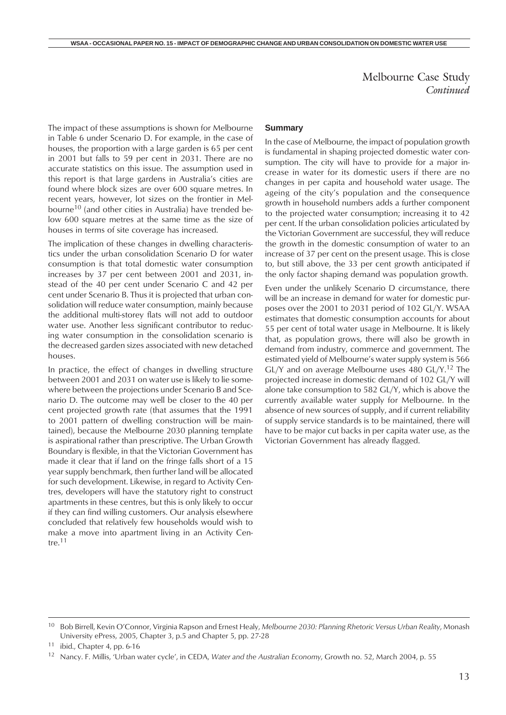<span id="page-12-0"></span>The impact of these assumptions is shown for Melbourne in Table 6 under Scenario D. For example, in the case of houses, the proportion with a large garden is 65 per cent in 2001 but falls to 59 per cent in 2031. There are no accurate statistics on this issue. The assumption used in this report is that large gardens in Australia's cities are found where block sizes are over 600 square metres. In recent years, however, lot sizes on the frontier in Melbourne<sup>10</sup> (and other cities in Australia) have trended below 600 square metres at the same time as the size of houses in terms of site coverage has increased.

The implication of these changes in dwelling characteristics under the urban consolidation Scenario D for water consumption is that total domestic water consumption increases by 37 per cent between 2001 and 2031, instead of the 40 per cent under Scenario C and 42 per cent under Scenario B. Thus it is projected that urban consolidation will reduce water consumption, mainly because the additional multi-storey flats will not add to outdoor water use. Another less significant contributor to reducing water consumption in the consolidation scenario is the decreased garden sizes associated with new detached houses.

In practice, the effect of changes in dwelling structure between 2001 and 2031 on water use is likely to lie somewhere between the projections under Scenario B and Scenario D. The outcome may well be closer to the 40 per cent projected growth rate (that assumes that the 1991 to 2001 pattern of dwelling construction will be maintained), because the Melbourne 2030 planning template is aspirational rather than prescriptive. The Urban Growth Boundary is flexible, in that the Victorian Government has made it clear that if land on the fringe falls short of a 15 year supply benchmark, then further land will be allocated for such development. Likewise, in regard to Activity Centres, developers will have the statutory right to construct apartments in these centres, but this is only likely to occur if they can find willing customers. Our analysis elsewhere concluded that relatively few households would wish to make a move into apartment living in an Activity Centre.<sup>11</sup>

#### **Summary**

In the case of Melbourne, the impact of population growth is fundamental in shaping projected domestic water consumption. The city will have to provide for a major increase in water for its domestic users if there are no changes in per capita and household water usage. The ageing of the city's population and the consequence growth in household numbers adds a further component to the projected water consumption; increasing it to 42 per cent. If the urban consolidation policies articulated by the Victorian Government are successful, they will reduce the growth in the domestic consumption of water to an increase of 37 per cent on the present usage. This is close to, but still above, the 33 per cent growth anticipated if the only factor shaping demand was population growth.

Even under the unlikely Scenario D circumstance, there will be an increase in demand for water for domestic purposes over the 2001 to 2031 period of 102 GL/Y. WSAA estimates that domestic consumption accounts for about 55 per cent of total water usage in Melbourne. It is likely that, as population grows, there will also be growth in demand from industry, commerce and government. The estimated yield of Melbourne's water supply system is 566 GL/Y and on average Melbourne uses 480 GL/Y.12 The projected increase in domestic demand of 102 GL/Y will alone take consumption to 582 GL/Y, which is above the currently available water supply for Melbourne. In the absence of new sources of supply, and if current reliability of supply service standards is to be maintained, there will have to be major cut backs in per capita water use, as the Victorian Government has already flagged.

<sup>10</sup> Bob Birrell, Kevin O'Connor, Virginia Rapson and Ernest Healy, *Melbourne 2030: Planning Rhetoric Versus Urban Reality*, Monash University ePress, 2005, Chapter 3, p.5 and Chapter 5, pp. 27-28

 $11$  ibid., Chapter 4, pp. 6-16

<sup>12</sup> Nancy. F. Millis, 'Urban water cycle', in CEDA, *Water and the Australian Economy*, Growth no. 52, March 2004, p. 55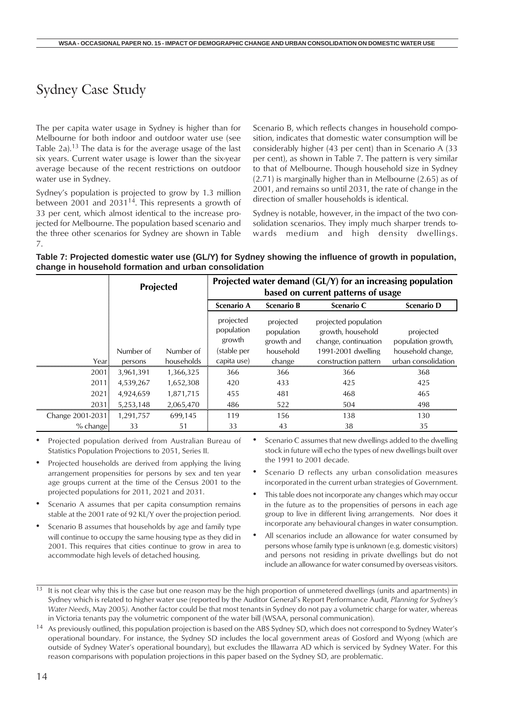## Sydney Case Study

The per capita water usage in Sydney is higher than for Melbourne for both indoor and outdoor water use (see Table 2a).13 The data is for the average usage of the last six years. Current water usage is lower than the six-year average because of the recent restrictions on outdoor water use in Sydney.

Sydney's population is projected to grow by 1.3 million between 2001 and 2031<sup>14</sup>. This represents a growth of 33 per cent, which almost identical to the increase projected for Melbourne. The population based scenario and the three other scenarios for Sydney are shown in Table 7.

Scenario B, which reflects changes in household composition, indicates that domestic water consumption will be considerably higher (43 per cent) than in Scenario A (33 per cent), as shown in Table 7. The pattern is very similar to that of Melbourne. Though household size in Sydney (2.71) is marginally higher than in Melbourne (2.65) as of 2001, and remains so until 2031, the rate of change in the direction of smaller households is identical.

Sydney is notable, however, in the impact of the two consolidation scenarios. They imply much sharper trends towards medium and high density dwellings.

| Table 7: Projected domestic water use (GL/Y) for Sydney showing the influence of growth in population, |  |
|--------------------------------------------------------------------------------------------------------|--|
| change in household formation and urban consolidation                                                  |  |

|                  |           | <b>Projected</b> | Projected water demand (GL/Y) for an increasing population<br>based on current patterns of usage |                                       |                                                                   |                                 |  |
|------------------|-----------|------------------|--------------------------------------------------------------------------------------------------|---------------------------------------|-------------------------------------------------------------------|---------------------------------|--|
|                  |           |                  | <b>Scenario A</b>                                                                                | <b>Scenario B</b>                     | Scenario C                                                        | <b>Scenario D</b>               |  |
|                  |           |                  | projected<br>population<br>growth                                                                | projected<br>population<br>growth and | projected population<br>growth, household<br>change, continuation | projected<br>population growth, |  |
|                  | Number of | Number of        | (stable per                                                                                      | household                             | 1991-2001 dwelling                                                | household change,               |  |
| Year             | persons   | households       | capita use)                                                                                      | change                                | construction pattern                                              | urban consolidation             |  |
| 2001             | 3,961,391 | 1,366,325        | 366                                                                                              | 366                                   | 366                                                               | 368                             |  |
| 2011             | 4,539,267 | 1,652,308        | 420                                                                                              | 433                                   | 425                                                               | 425                             |  |
| 2021.            | 4,924,659 | 1,871,715        | 455                                                                                              | 481                                   | 468                                                               | 465                             |  |
| 2031             | 5,253,148 | 2,065,470        | 486                                                                                              | 522                                   | 504                                                               | 498                             |  |
| Change 2001-2031 | 1,291,757 | 699,145          | 119                                                                                              | 156                                   | 138                                                               | 130                             |  |
| $%$ change       | 33        | 51               | 33                                                                                               | 43                                    | 38                                                                | 35                              |  |

- Projected population derived from Australian Bureau of Statistics Population Projections to 2051, Series II.
- Projected households are derived from applying the living arrangement propensities for persons by sex and ten year age groups current at the time of the Census 2001 to the projected populations for 2011, 2021 and 2031.
- Scenario A assumes that per capita consumption remains stable at the 2001 rate of 92 KL/Y over the projection period.
- Scenario B assumes that households by age and family type will continue to occupy the same housing type as they did in 2001. This requires that cities continue to grow in area to accommodate high levels of detached housing.
- Scenario C assumes that new dwellings added to the dwelling stock in future will echo the types of new dwellings built over the 1991 to 2001 decade.
- Scenario D reflects any urban consolidation measures incorporated in the current urban strategies of Government.
- This table does not incorporate any changes which may occur in the future as to the propensities of persons in each age group to live in different living arrangements. Nor does it incorporate any behavioural changes in water consumption.
- All scenarios include an allowance for water consumed by persons whose family type is unknown (e.g. domestic visitors) and persons not residing in private dwellings but do not include an allowance for water consumed by overseas visitors.

 $\frac{13}{13}$  It is not clear why this is the case but one reason may be the high proportion of unmetered dwellings (units and apartments) in Sydney which is related to higher water use (reported by the Auditor General's Report Performance Audit, *Planning for Sydney's Water Needs*, May 2005*)*. Another factor could be that most tenants in Sydney do not pay a volumetric charge for water, whereas in Victoria tenants pay the volumetric component of the water bill (WSAA, personal communication).

<sup>14</sup> As previously outlined, this population projection is based on the ABS Sydney SD, which does not correspond to Sydney Water's operational boundary. For instance, the Sydney SD includes the local government areas of Gosford and Wyong (which are outside of Sydney Water's operational boundary), but excludes the Illawarra AD which is serviced by Sydney Water. For this reason comparisons with population projections in this paper based on the Sydney SD, are problematic.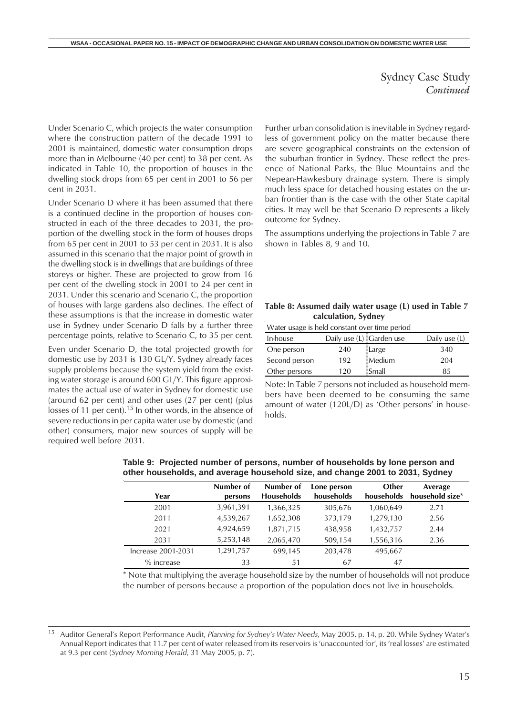Sydney Case Study *Continued*

<span id="page-14-0"></span>Under Scenario C, which projects the water consumption where the construction pattern of the decade 1991 to 2001 is maintained, domestic water consumption drops more than in Melbourne (40 per cent) to 38 per cent. As indicated in Table 10, the proportion of houses in the dwelling stock drops from 65 per cent in 2001 to 56 per cent in 2031.

Under Scenario D where it has been assumed that there is a continued decline in the proportion of houses constructed in each of the three decades to 2031, the proportion of the dwelling stock in the form of houses drops from 65 per cent in 2001 to 53 per cent in 2031. It is also assumed in this scenario that the major point of growth in the dwelling stock is in dwellings that are buildings of three storeys or higher. These are projected to grow from 16 per cent of the dwelling stock in 2001 to 24 per cent in 2031. Under this scenario and Scenario C, the proportion of houses with large gardens also declines. The effect of these assumptions is that the increase in domestic water use in Sydney under Scenario D falls by a further three percentage points, relative to Scenario C, to 35 per cent.

Even under Scenario D, the total projected growth for domestic use by 2031 is 130 GL/Y. Sydney already faces supply problems because the system yield from the existing water storage is around 600 GL/Y. This figure approximates the actual use of water in Sydney for domestic use (around 62 per cent) and other uses (27 per cent) (plus losses of 11 per cent).<sup>15</sup> In other words, in the absence of severe reductions in per capita water use by domestic (and other) consumers, major new sources of supply will be required well before 2031.

Further urban consolidation is inevitable in Sydney regardless of government policy on the matter because there are severe geographical constraints on the extension of the suburban frontier in Sydney. These reflect the presence of National Parks, the Blue Mountains and the Nepean-Hawkesbury drainage system. There is simply much less space for detached housing estates on the urban frontier than is the case with the other State capital cities. It may well be that Scenario D represents a likely outcome for Sydney.

The assumptions underlying the projections in Table 7 are shown in Tables 8, 9 and 10.

| Table 8: Assumed daily water usage (L) used in Table 7 |  |
|--------------------------------------------------------|--|
| calculation, Sydney                                    |  |

Water usage is held constant over time period

| In-house      | Daily use (L) Carden use |        | Daily use (L) |
|---------------|--------------------------|--------|---------------|
| One person    | 240                      | Large  | 340           |
| Second person | 192                      | Medium | 204           |
| Other persons | 120                      | Small  | 85            |

Note: In Table 7 persons not included as household members have been deemed to be consuming the same amount of water (120L/D) as 'Other persons' in households.

| Year               | Number of<br>persons | Number of<br><b>Households</b> | Lone person<br>households | Other<br>households | Average<br>household size* |
|--------------------|----------------------|--------------------------------|---------------------------|---------------------|----------------------------|
| 2001               | 3,961,391            | 1,366,325                      | 305,676                   | 1,060,649           | 2.71                       |
| 2011               | 4,539,267            | 1,652,308                      | 373,179                   | 1,279,130           | 2.56                       |
| 2021               | 4,924,659            | 1,871,715                      | 438,958                   | 1,432,757           | 2.44                       |
| 2031               | 5,253,148            | 2,065,470                      | 509,154                   | 1,556,316           | 2.36                       |
| Increase 2001-2031 | 1,291,757            | 699,145                        | 203,478                   | 495,667             |                            |
| $%$ increase       | 33                   | 51                             | 67                        | 47                  |                            |

**Table 9: Projected number of persons, number of households by lone person and other households, and average household size, and change 2001 to 2031, Sydney**

\* Note that multiplying the average household size by the number of households will not produce the number of persons because a proportion of the population does not live in households.

<sup>15</sup> Auditor General's Report Performance Audit, *Planning for Sydney's Water Needs*, May 2005, p. 14, p. 20. While Sydney Water's Annual Report indicates that 11.7 per cent of water released from its reservoirs is 'unaccounted for', its 'real losses' are estimated at 9.3 per cent (*Sydney Morning Herald*, 31 May 2005, p. 7).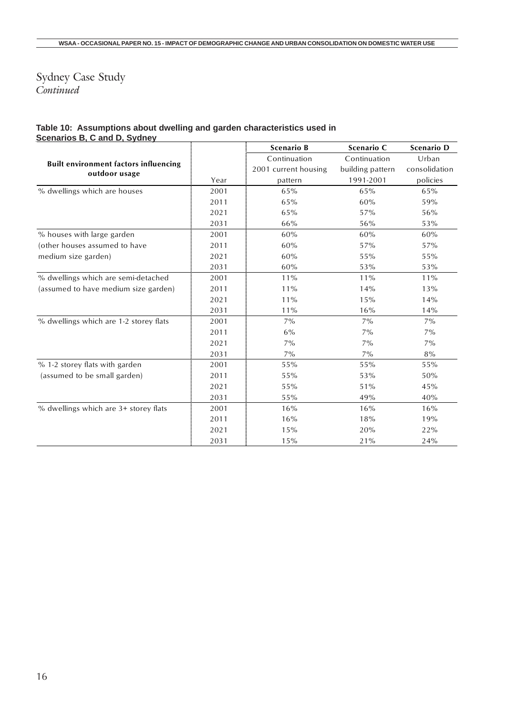### Sydney Case Study *Continued*

#### **Table 10: Assumptions about dwelling and garden characteristics used in Scenarios B, C and D, Sydney**

|                                                               |      | <b>Scenario B</b>    | Scenario C       | Scenario D    |
|---------------------------------------------------------------|------|----------------------|------------------|---------------|
|                                                               |      | Continuation         | Continuation     | Urban         |
| <b>Built environment factors influencing</b><br>outdoor usage |      | 2001 current housing | building pattern | consolidation |
|                                                               | Year | pattern              | 1991-2001        | policies      |
| % dwellings which are houses                                  | 2001 | 65%                  | 65%              | 65%           |
|                                                               | 2011 | 65%                  | 60%              | 59%           |
|                                                               | 2021 | 65%                  | 57%              | 56%           |
|                                                               | 2031 | 66%                  | 56%              | 53%           |
| % houses with large garden                                    | 2001 | 60%                  | 60%              | 60%           |
| (other houses assumed to have                                 | 2011 | 60%                  | 57%              | 57%           |
| medium size garden)                                           | 2021 | 60%                  | 55%              | 55%           |
|                                                               | 2031 | 60%                  | 53%              | 53%           |
| % dwellings which are semi-detached                           | 2001 | 11%                  | 11%              | $11\%$        |
| (assumed to have medium size garden)                          | 2011 | 11%                  | 14%              | 13%           |
|                                                               | 2021 | 11%                  | 15%              | 14%           |
|                                                               | 2031 | 11%                  | 16%              | 14%           |
| % dwellings which are 1-2 storey flats                        | 2001 | $7\%$                | $7\%$            | $7\%$         |
|                                                               | 2011 | $6\%$                | $7\%$            | $7\%$         |
|                                                               | 2021 | $7\%$                | $7\%$            | $7\%$         |
|                                                               | 2031 | $7\%$                | $7\%$            | $8\%$         |
| % 1-2 storey flats with garden                                | 2001 | 55%                  | 55%              | 55%           |
| (assumed to be small garden)                                  | 2011 | 55%                  | 53%              | 50%           |
|                                                               | 2021 | 55%                  | 51%              | 45%           |
|                                                               | 2031 | 55%                  | 49%              | 40%           |
| % dwellings which are 3+ storey flats                         | 2001 | 16%                  | 16%              | 16%           |
|                                                               | 2011 | 16%                  | 18%              | 19%           |
|                                                               | 2021 | 15%                  | 20%              | 22%           |
|                                                               | 2031 | 15%                  | 21%              | 24%           |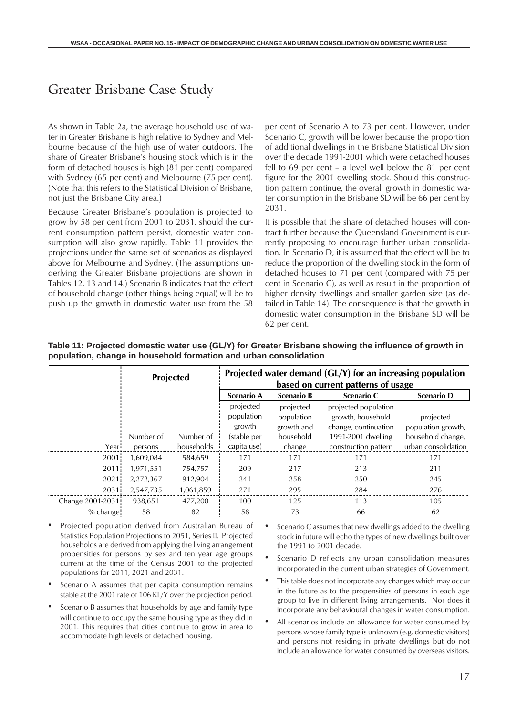### <span id="page-16-0"></span>Greater Brisbane Case Study

As shown in Table 2a, the average household use of water in Greater Brisbane is high relative to Sydney and Melbourne because of the high use of water outdoors. The share of Greater Brisbane's housing stock which is in the form of detached houses is high (81 per cent) compared with Sydney (65 per cent) and Melbourne (75 per cent). (Note that this refers to the Statistical Division of Brisbane, not just the Brisbane City area.)

Because Greater Brisbane's population is projected to grow by 58 per cent from 2001 to 2031, should the current consumption pattern persist, domestic water consumption will also grow rapidly. Table 11 provides the projections under the same set of scenarios as displayed above for Melbourne and Sydney. (The assumptions underlying the Greater Brisbane projections are shown in Tables 12, 13 and 14.) Scenario B indicates that the effect of household change (other things being equal) will be to push up the growth in domestic water use from the 58 per cent of Scenario A to 73 per cent. However, under Scenario C, growth will be lower because the proportion of additional dwellings in the Brisbane Statistical Division over the decade 1991-2001 which were detached houses fell to 69 per cent – a level well below the 81 per cent figure for the 2001 dwelling stock. Should this construction pattern continue, the overall growth in domestic water consumption in the Brisbane SD will be 66 per cent by 2031.

It is possible that the share of detached houses will contract further because the Queensland Government is currently proposing to encourage further urban consolidation. In Scenario D, it is assumed that the effect will be to reduce the proportion of the dwelling stock in the form of detached houses to 71 per cent (compared with 75 per cent in Scenario C), as well as result in the proportion of higher density dwellings and smaller garden size (as detailed in Table 14). The consequence is that the growth in domestic water consumption in the Brisbane SD will be 62 per cent.

|                  |           | <b>Projected</b> | Projected water demand (GL/Y) for an increasing population<br>based on current patterns of usage |                                       |                                                                   |                                 |  |
|------------------|-----------|------------------|--------------------------------------------------------------------------------------------------|---------------------------------------|-------------------------------------------------------------------|---------------------------------|--|
|                  |           |                  | <b>Scenario A</b>                                                                                | <b>Scenario B</b>                     | Scenario C                                                        | <b>Scenario D</b>               |  |
|                  |           |                  | projected<br>population<br>growth                                                                | projected<br>population<br>growth and | projected population<br>growth, household<br>change, continuation | projected<br>population growth, |  |
|                  | Number of | Number of        | (stable per                                                                                      | household                             | 1991-2001 dwelling                                                | household change,               |  |
| Year -           | persons   | households       | capita use)                                                                                      | change                                | construction pattern                                              | urban consolidation             |  |
| 2001             | 1,609,084 | 584,659          | 171                                                                                              | 171                                   | 171                                                               | 171                             |  |
| 2011             | 1.971.551 | 754,757          | 209                                                                                              | 217                                   | 213                                                               | 211                             |  |
| 2021             | 2,272,367 | 912.904          | 241                                                                                              | 258                                   | 250                                                               | 245                             |  |
| 2031             | 2,547,735 | 1,061,859        | 271                                                                                              | 295                                   | 284                                                               | 276                             |  |
| Change 2001-2031 | 938.651   | 477,200          | 100                                                                                              | 125                                   | 113                                                               | 105                             |  |
| $%$ change       | 58        | 82               | 58                                                                                               | 73                                    | 66                                                                | 62                              |  |

**Table 11: Projected domestic water use (GL/Y) for Greater Brisbane showing the influence of growth in population, change in household formation and urban consolidation**

• Projected population derived from Australian Bureau of Statistics Population Projections to 2051, Series II. Projected households are derived from applying the living arrangement propensities for persons by sex and ten year age groups current at the time of the Census 2001 to the projected populations for 2011, 2021 and 2031.

- Scenario A assumes that per capita consumption remains stable at the 2001 rate of 106 KL/Y over the projection period.
- Scenario B assumes that households by age and family type will continue to occupy the same housing type as they did in 2001. This requires that cities continue to grow in area to accommodate high levels of detached housing.

• Scenario C assumes that new dwellings added to the dwelling stock in future will echo the types of new dwellings built over the 1991 to 2001 decade.

- Scenario D reflects any urban consolidation measures incorporated in the current urban strategies of Government.
- This table does not incorporate any changes which may occur in the future as to the propensities of persons in each age group to live in different living arrangements. Nor does it incorporate any behavioural changes in water consumption.
- All scenarios include an allowance for water consumed by persons whose family type is unknown (e.g. domestic visitors) and persons not residing in private dwellings but do not include an allowance for water consumed by overseas visitors.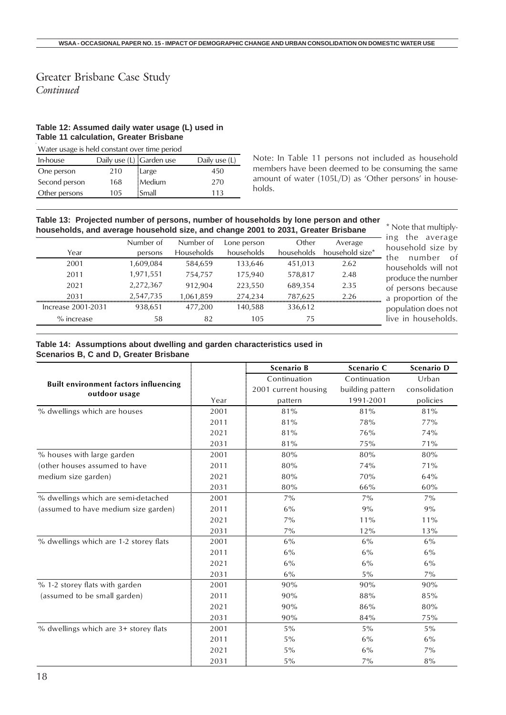#### Greater Brisbane Case Study *Continued*

### **Table 12: Assumed daily water usage (L) used in Table 11 calculation, Greater Brisbane**

| Water usage is held constant over time period |                          |        |               |  |  |  |  |
|-----------------------------------------------|--------------------------|--------|---------------|--|--|--|--|
| In-house                                      | Daily use (L) Garden use |        | Daily use (L) |  |  |  |  |
| One person                                    | 210                      | Large  | 450           |  |  |  |  |
| Second person                                 | 168                      | Medium | 270           |  |  |  |  |
| Other persons                                 | 105                      | Small  | 113           |  |  |  |  |
|                                               |                          |        |               |  |  |  |  |

Note: In Table 11 persons not included as household members have been deemed to be consuming the same amount of water (105L/D) as 'Other persons' in households.

| Table 13: Projected number of persons, number of households by lone person and other<br>households, and average household size, and change 2001 to 2031, Greater Brisbane |           |                   |             |            |                 |  |  |  |
|---------------------------------------------------------------------------------------------------------------------------------------------------------------------------|-----------|-------------------|-------------|------------|-----------------|--|--|--|
|                                                                                                                                                                           | Number of | Number of         | Lone person | Other      | Average         |  |  |  |
| Year                                                                                                                                                                      | persons   | <b>Households</b> | households  | households | household size* |  |  |  |
| 2001                                                                                                                                                                      | 1.609.084 | 584.659           | 133,646     | 451.013    | 2.62            |  |  |  |
| 2011                                                                                                                                                                      | 1.971.551 | 754,757           | 175,940     | 578.817    | 2.48            |  |  |  |
| 2021                                                                                                                                                                      | 2,272,367 | 912.904           | 223,550     | 689,354    | 2.35            |  |  |  |

2031 2,547,735 1,061,859 274,234 787,625 2.26

Note that multiplyng the average ousehold size by he number of ouseholds will not produce the number of persons because a proportion of the population does not live in households.

### **Table 14: Assumptions about dwelling and garden characteristics used in**

Increase 2001-2031 938,651 477,200 140,588 336,612 % increase 58 82 105 75

**Scenarios B, C and D, Greater Brisbane**

|                                                               |      | <b>Scenario B</b>    | Scenario C       | Scenario D    |
|---------------------------------------------------------------|------|----------------------|------------------|---------------|
|                                                               |      | Continuation         | Continuation     | Urban         |
| <b>Built environment factors influencing</b><br>outdoor usage |      | 2001 current housing | building pattern | consolidation |
|                                                               | Year | pattern              | 1991-2001        | policies      |
| % dwellings which are houses                                  | 2001 | 81%                  | 81%              | 81%           |
|                                                               | 2011 | 81%                  | 78%              | 77%           |
|                                                               | 2021 | 81%                  | 76%              | 74%           |
|                                                               | 2031 | 81%                  | 75%              | 71%           |
| % houses with large garden                                    | 2001 | 80%                  | 80%              | 80%           |
| (other houses assumed to have                                 | 2011 | 80%                  | 74%              | 71%           |
| medium size garden)                                           | 2021 | 80%                  | 70%              | 64%           |
|                                                               | 2031 | 80%                  | 66%              | 60%           |
| % dwellings which are semi-detached                           | 2001 | $7\%$                | $7\%$            | $7\%$         |
| (assumed to have medium size garden)                          | 2011 | $6\%$                | 9%               | 9%            |
|                                                               | 2021 | $7\%$                | 11%              | $11\%$        |
|                                                               | 2031 | $7\%$                | 12%              | 13%           |
| % dwellings which are 1-2 storey flats                        | 2001 | $6\%$                | 6%               | $6\%$         |
|                                                               | 2011 | 6%                   | 6%               | 6%            |
|                                                               | 2021 | 6%                   | 6%               | 6%            |
|                                                               | 2031 | $6\%$                | $5\%$            | $7\%$         |
| % 1-2 storey flats with garden                                | 2001 | 90%                  | 90%              | 90%           |
| (assumed to be small garden)                                  | 2011 | 90%                  | 88%              | 85%           |
|                                                               | 2021 | 90%                  | 86%              | 80%           |
|                                                               | 2031 | 90%                  | 84%              | 75%           |
| % dwellings which are 3+ storey flats                         | 2001 | $5\%$                | $5\%$            | $5\%$         |
|                                                               | 2011 | $5\%$                | 6%               | 6%            |
|                                                               | 2021 | 5%                   | 6%               | $7\%$         |
|                                                               | 2031 | $5\%$                | $7\%$            | $8\%$         |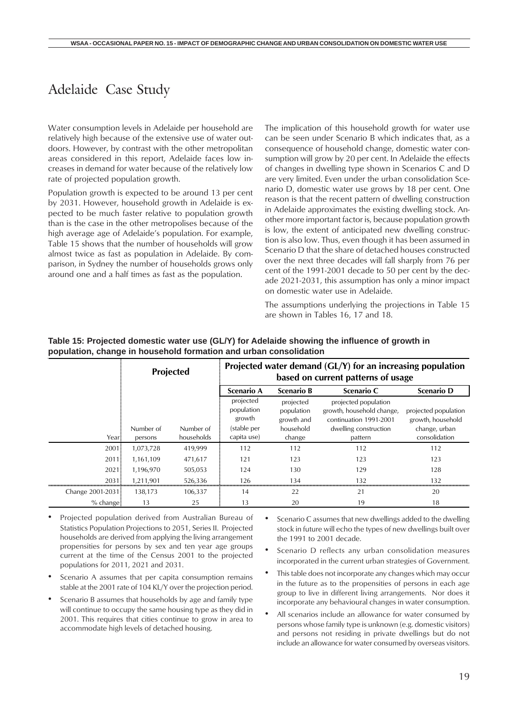### <span id="page-18-0"></span>Adelaide Case Study

Water consumption levels in Adelaide per household are relatively high because of the extensive use of water outdoors. However, by contrast with the other metropolitan areas considered in this report, Adelaide faces low increases in demand for water because of the relatively low rate of projected population growth.

Population growth is expected to be around 13 per cent by 2031. However, household growth in Adelaide is expected to be much faster relative to population growth than is the case in the other metropolises because of the high average age of Adelaide's population. For example, Table 15 shows that the number of households will grow almost twice as fast as population in Adelaide. By comparison, in Sydney the number of households grows only around one and a half times as fast as the population.

The implication of this household growth for water use can be seen under Scenario B which indicates that, as a consequence of household change, domestic water consumption will grow by 20 per cent. In Adelaide the effects of changes in dwelling type shown in Scenarios C and D are very limited. Even under the urban consolidation Scenario D, domestic water use grows by 18 per cent. One reason is that the recent pattern of dwelling construction in Adelaide approximates the existing dwelling stock. Another more important factor is, because population growth is low, the extent of anticipated new dwelling construction is also low. Thus, even though it has been assumed in Scenario D that the share of detached houses constructed over the next three decades will fall sharply from 76 per cent of the 1991-2001 decade to 50 per cent by the decade 2021-2031, this assumption has only a minor impact on domestic water use in Adelaide.

The assumptions underlying the projections in Table 15 are shown in Tables 16, 17 and 18.

|                  |                      | <b>Projected</b>        |                                                                 |                                                              | Projected water demand $(GL/Y)$ for an increasing population<br>based on current patterns of usage              |                                                                             |
|------------------|----------------------|-------------------------|-----------------------------------------------------------------|--------------------------------------------------------------|-----------------------------------------------------------------------------------------------------------------|-----------------------------------------------------------------------------|
|                  |                      |                         | <b>Scenario A</b>                                               | <b>Scenario B</b>                                            | Scenario C                                                                                                      | <b>Scenario D</b>                                                           |
| Year             | Number of<br>persons | Number of<br>households | projected<br>population<br>growth<br>(stable per<br>capita use) | projected<br>population<br>growth and<br>household<br>change | projected population<br>growth, household change,<br>continuation 1991-2001<br>dwelling construction<br>pattern | projected population<br>growth, household<br>change, urban<br>consolidation |
| $2001 -$         | 1,073,728            | 419,999                 | 112                                                             | 112                                                          | 112                                                                                                             | 112                                                                         |
| 2011.            | 1,161,109            | 471,617                 | 121                                                             | 123                                                          | 123                                                                                                             | 123                                                                         |
| 2021             | 1.196.970            | 505,053                 | 124                                                             | 130                                                          | 129                                                                                                             | 128                                                                         |
| 2031             | 1.211.901            | 526,336                 | 126                                                             | 134                                                          | 132                                                                                                             | 132                                                                         |
| Change 2001-2031 | 138.173              | 106,337                 | 14                                                              | 22                                                           | 21                                                                                                              | 20                                                                          |
| $%$ change       | 13                   | 25                      | 13                                                              | 20                                                           | 19                                                                                                              | 18                                                                          |

**Table 15: Projected domestic water use (GL/Y) for Adelaide showing the influence of growth in population, change in household formation and urban consolidation**

- Projected population derived from Australian Bureau of Statistics Population Projections to 2051, Series II. Projected households are derived from applying the living arrangement propensities for persons by sex and ten year age groups current at the time of the Census 2001 to the projected populations for 2011, 2021 and 2031.
- Scenario A assumes that per capita consumption remains stable at the 2001 rate of 104 KL/Y over the projection period.
- Scenario B assumes that households by age and family type will continue to occupy the same housing type as they did in 2001. This requires that cities continue to grow in area to accommodate high levels of detached housing.
- Scenario C assumes that new dwellings added to the dwelling stock in future will echo the types of new dwellings built over the 1991 to 2001 decade.
- Scenario D reflects any urban consolidation measures incorporated in the current urban strategies of Government.
- This table does not incorporate any changes which may occur in the future as to the propensities of persons in each age group to live in different living arrangements. Nor does it incorporate any behavioural changes in water consumption.
- All scenarios include an allowance for water consumed by persons whose family type is unknown (e.g. domestic visitors) and persons not residing in private dwellings but do not include an allowance for water consumed by overseas visitors.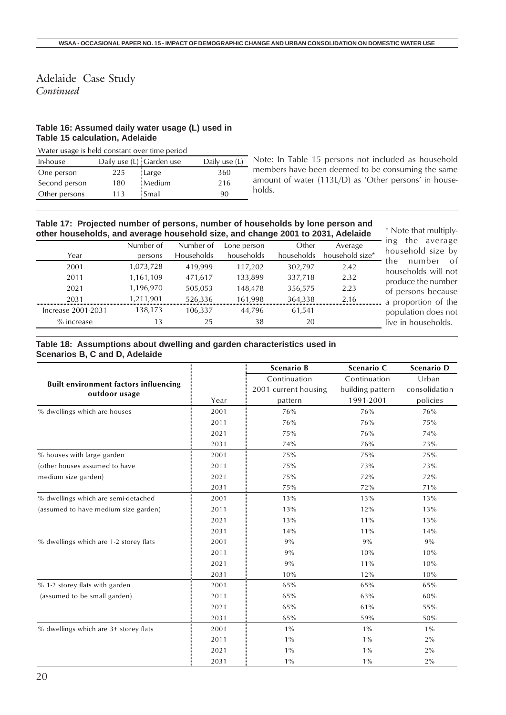### Adelaide Case Study *Continued*

#### **Table 16: Assumed daily water usage (L) used in Table 15 calculation, Adelaide**

Water usage is held constant over time period

| In-house      | Daily use (L) Garden use |         | Daily use (L) |
|---------------|--------------------------|---------|---------------|
| One person    | 225                      | Large   | 360           |
| Second person | 180                      | Medium  | 216           |
| Other persons | 113                      | : Small | 90            |

Note: In Table 15 persons not included as household members have been deemed to be consuming the same amount of water (113L/D) as 'Other persons' in households.

#### **Table 17: Projected number of persons, number of households by lone person and other households, and average household size, and change 2001 to 2031, Adelaide** \* Note that multiply-

| Year               | Number of<br>persons | Number of<br>Households | Lone person<br>households | Other<br>households | Average<br>household size* | average<br>the<br>ing<br>household size by |
|--------------------|----------------------|-------------------------|---------------------------|---------------------|----------------------------|--------------------------------------------|
| 2001               | 1,073,728            | 419,999                 | 117,202                   | 302,797             | 2.42                       | of<br>number<br>the<br>households will not |
| 2011               | 1,161,109            | 471,617                 | 133,899                   | 337,718             | 2.32                       | produce the number                         |
| 2021               | 1,196,970            | 505.053                 | 148,478                   | 356,575             | 2.23                       | of persons because                         |
| 2031               | 1.211.901            | 526.336                 | 161.998                   | 364,338             | 2.16                       | a proportion of the                        |
| Increase 2001-2031 | 138.173              | 106.337                 | 44.796                    | 61,541              |                            | population does not                        |
| $%$ increase       |                      | 25                      | 38                        | 20                  |                            | live in households.                        |
|                    |                      |                         |                           |                     |                            |                                            |

#### **Table 18: Assumptions about dwelling and garden characteristics used in Scenarios B, C and D, Adelaide**

|                                                               |      | <b>Scenario B</b>    | Scenario C       | <b>Scenario D</b> |
|---------------------------------------------------------------|------|----------------------|------------------|-------------------|
|                                                               |      | Continuation         | Continuation     | Urban             |
| <b>Built environment factors influencing</b><br>outdoor usage |      | 2001 current housing | building pattern | consolidation     |
|                                                               | Year | pattern              | 1991-2001        | policies          |
| % dwellings which are houses                                  | 2001 | 76%                  | 76%              | 76%               |
|                                                               | 2011 | 76%                  | 76%              | 75%               |
|                                                               | 2021 | 75%                  | 76%              | 74%               |
|                                                               | 2031 | 74%                  | 76%              | 73%               |
| % houses with large garden                                    | 2001 | 75%                  | 75%              | 75%               |
| (other houses assumed to have                                 | 2011 | 75%                  | 73%              | 73%               |
| medium size garden)                                           | 2021 | 75%                  | 72%              | 72%               |
|                                                               | 2031 | 75%                  | 72%              | 71%               |
| % dwellings which are semi-detached                           | 2001 | 13%                  | 13%              | 13%               |
| (assumed to have medium size garden)                          | 2011 | 13%                  | 12%              | 13%               |
|                                                               | 2021 | 13%                  | 11%              | 13%               |
|                                                               | 2031 | 14%                  | $11\%$           | 14%               |
| % dwellings which are 1-2 storey flats                        | 2001 | 9%                   | 9%               | 9%                |
|                                                               | 2011 | 9%                   | 10%              | 10%               |
|                                                               | 2021 | 9%                   | 11%              | 10%               |
|                                                               | 2031 | 10%                  | 12%              | 10%               |
| % 1-2 storey flats with garden                                | 2001 | 65%                  | 65%              | 65%               |
| (assumed to be small garden)                                  | 2011 | 65%                  | 63%              | 60%               |
|                                                               | 2021 | 65%                  | 61%              | 55%               |
|                                                               | 2031 | 65%                  | 59%              | 50%               |
| % dwellings which are 3+ storey flats                         | 2001 | $1\%$                | $1\%$            | $1\%$             |
|                                                               | 2011 | $1\%$                | $1\%$            | 2%                |
|                                                               | 2021 | $1\%$                | $1\%$            | 2%                |
|                                                               | 2031 | $1\%$                | $1\%$            | 2%                |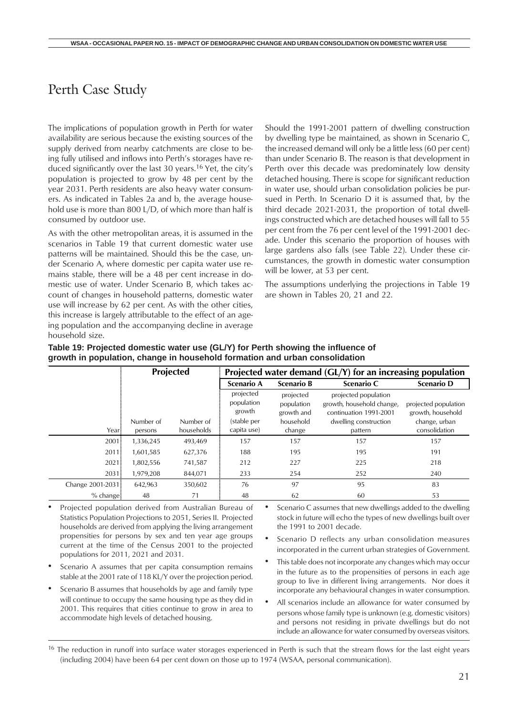### <span id="page-20-0"></span>Perth Case Study

The implications of population growth in Perth for water availability are serious because the existing sources of the supply derived from nearby catchments are close to being fully utilised and inflows into Perth's storages have reduced significantly over the last 30 years.<sup>16</sup> Yet, the city's population is projected to grow by 48 per cent by the year 2031. Perth residents are also heavy water consumers. As indicated in Tables 2a and b, the average household use is more than 800 L/D, of which more than half is consumed by outdoor use.

As with the other metropolitan areas, it is assumed in the scenarios in Table 19 that current domestic water use patterns will be maintained. Should this be the case, under Scenario A, where domestic per capita water use remains stable, there will be a 48 per cent increase in domestic use of water. Under Scenario B, which takes account of changes in household patterns, domestic water use will increase by 62 per cent. As with the other cities, this increase is largely attributable to the effect of an ageing population and the accompanying decline in average household size.

Should the 1991-2001 pattern of dwelling construction by dwelling type be maintained, as shown in Scenario C, the increased demand will only be a little less (60 per cent) than under Scenario B. The reason is that development in Perth over this decade was predominately low density detached housing. There is scope for significant reduction in water use, should urban consolidation policies be pursued in Perth. In Scenario D it is assumed that, by the third decade 2021-2031, the proportion of total dwellings constructed which are detached houses will fall to 55 per cent from the 76 per cent level of the 1991-2001 decade. Under this scenario the proportion of houses with large gardens also falls (see Table 22). Under these circumstances, the growth in domestic water consumption will be lower, at 53 per cent.

The assumptions underlying the projections in Table 19 are shown in Tables 20, 21 and 22.

|                  |           | <b>Projected</b> | Projected water demand (GL/Y) for an increasing population |                                       |                                                                             |                                           |
|------------------|-----------|------------------|------------------------------------------------------------|---------------------------------------|-----------------------------------------------------------------------------|-------------------------------------------|
|                  |           |                  | Scenario A                                                 | Scenario B                            | Scenario C                                                                  | <b>Scenario D</b>                         |
|                  |           |                  | projected<br>population<br>growth                          | projected<br>population<br>growth and | projected population<br>growth, household change,<br>continuation 1991-2001 | projected population<br>growth, household |
|                  | Number of | Number of        | (stable per                                                | household                             | dwelling construction                                                       | change, urban                             |
| Year:            | persons   | households       | capita use)                                                | change                                | pattern                                                                     | consolidation                             |
| 2001             | 1,336,245 | 493,469          | 157                                                        | 157                                   | 157                                                                         | 157                                       |
| 2011             | 1,601,585 | 627,376          | 188                                                        | 195                                   | 195                                                                         | 191                                       |
| 2021             | 1,802,556 | 741,587          | 212                                                        | 227                                   | 225                                                                         | 218                                       |
| $2031 -$         | 1,979,208 | 844,071          | 233                                                        | 254                                   | 252                                                                         | 240                                       |
| Change 2001-2031 | 642,963   | 350,602          | 76                                                         | 97                                    | 95                                                                          | 83                                        |
| $%$ change       | 48        | 71               | 48                                                         | 62                                    | 60                                                                          | 53                                        |

#### **Table 19: Projected domestic water use (GL/Y) for Perth showing the influence of growth in population, change in household formation and urban consolidation**

• Projected population derived from Australian Bureau of Statistics Population Projections to 2051, Series II. Projected households are derived from applying the living arrangement propensities for persons by sex and ten year age groups current at the time of the Census 2001 to the projected populations for 2011, 2021 and 2031.

- Scenario A assumes that per capita consumption remains stable at the 2001 rate of 118 KL/Y over the projection period.
- Scenario B assumes that households by age and family type will continue to occupy the same housing type as they did in 2001. This requires that cities continue to grow in area to accommodate high levels of detached housing.

• Scenario C assumes that new dwellings added to the dwelling stock in future will echo the types of new dwellings built over the 1991 to 2001 decade.

- Scenario D reflects any urban consolidation measures incorporated in the current urban strategies of Government.
- This table does not incorporate any changes which may occur in the future as to the propensities of persons in each age group to live in different living arrangements. Nor does it incorporate any behavioural changes in water consumption.
- All scenarios include an allowance for water consumed by persons whose family type is unknown (e.g. domestic visitors) and persons not residing in private dwellings but do not include an allowance for water consumed by overseas visitors.

<sup>&</sup>lt;sup>16</sup> The reduction in runoff into surface water storages experienced in Perth is such that the stream flows for the last eight years (including 2004) have been 64 per cent down on those up to 1974 (WSAA, personal communication).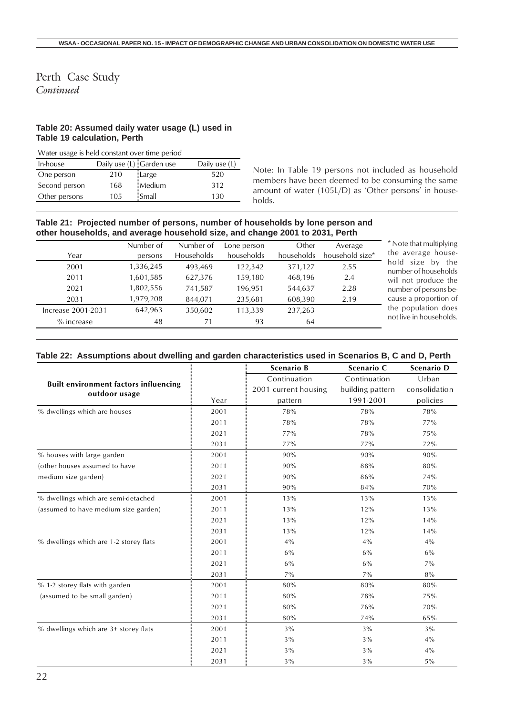#### Perth Case Study *Continued*

#### **Table 20: Assumed daily water usage (L) used in Table 19 calculation, Perth**

Water usage is held constant over time period

| In-house      | Daily use (L) Garden use |        | Daily use (L) |
|---------------|--------------------------|--------|---------------|
| One person    | 210                      | Large  | 520           |
| Second person | 168                      | Medium | 312           |
| Other persons | 105                      | Small  | 130           |

Note: In Table 19 persons not included as household members have been deemed to be consuming the same amount of water (105L/D) as 'Other persons' in households.

#### **Table 21: Projected number of persons, number of households by lone person and other households, and average household size, and change 2001 to 2031, Perth**

|                    | Number of | Number of  | Lone person | Other      | Average         |
|--------------------|-----------|------------|-------------|------------|-----------------|
| Year               | persons   | Households | households  | households | household size* |
| 2001               | 1,336,245 | 493.469    | 122.342     | 371,127    | 2.55            |
| 2011               | 1,601,585 | 627,376    | 159,180     | 468,196    | 2.4             |
| 2021               | 1,802,556 | 741,587    | 196,951     | 544,637    | 2.28            |
| 2031               | 1,979,208 | 844.071    | 235.681     | 608,390    | 2.19            |
| Increase 2001-2031 | 642.963   | 350.602    | 113,339     | 237.263    |                 |
| $%$ increase       | 48        | 71         | 93          | 64         |                 |

that multiplying erage housesize by the of households produce the of persons beproportion of pulation does in households.

#### **Table 22: Assumptions about dwelling and garden characteristics used in Scenarios B, C and D, Perth**

|                                                               |      | <b>Scenario B</b>    | Scenario C       | <b>Scenario D</b> |
|---------------------------------------------------------------|------|----------------------|------------------|-------------------|
|                                                               |      | Continuation         | Continuation     | Urban             |
| <b>Built environment factors influencing</b><br>outdoor usage |      | 2001 current housing | building pattern | consolidation     |
|                                                               | Year | pattern              | 1991-2001        | policies          |
| % dwellings which are houses                                  | 2001 | 78%                  | 78%              | 78%               |
|                                                               | 2011 | 78%                  | 78%              | 77%               |
|                                                               | 2021 | 77%                  | 78%              | 75%               |
|                                                               | 2031 | 77%                  | 77%              | 72%               |
| % houses with large garden                                    | 2001 | 90%                  | 90%              | 90%               |
| (other houses assumed to have                                 | 2011 | 90%                  | 88%              | 80%               |
| medium size garden)                                           | 2021 | 90%                  | 86%              | 74%               |
|                                                               | 2031 | 90%                  | 84%              | 70%               |
| % dwellings which are semi-detached                           | 2001 | 13%                  | 13%              | 13%               |
| (assumed to have medium size garden)                          | 2011 | 13%                  | 12%              | 13%               |
|                                                               | 2021 | 13%                  | 12%              | 14%               |
|                                                               | 2031 | 13%                  | 12%              | 14%               |
| % dwellings which are 1-2 storey flats                        | 2001 | 4%                   | $4\%$            | $4\%$             |
|                                                               | 2011 | 6%                   | 6%               | $6\%$             |
|                                                               | 2021 | $6\%$                | $6\%$            | $7\%$             |
|                                                               | 2031 | $7\%$                | $7\%$            | 8%                |
| % 1-2 storey flats with garden                                | 2001 | 80%                  | 80%              | 80%               |
| (assumed to be small garden)                                  | 2011 | 80%                  | 78%              | 75%               |
|                                                               | 2021 | 80%                  | 76%              | 70%               |
|                                                               | 2031 | 80%                  | 74%              | 65%               |
| % dwellings which are 3+ storey flats                         | 2001 | $3\%$                | $3\%$            | $3\%$             |
|                                                               | 2011 | $3\%$                | $3\%$            | $4\%$             |
|                                                               | 2021 | $3\%$                | $3\%$            | 4%                |
|                                                               | 2031 | $3\%$                | $3\%$            | $5\%$             |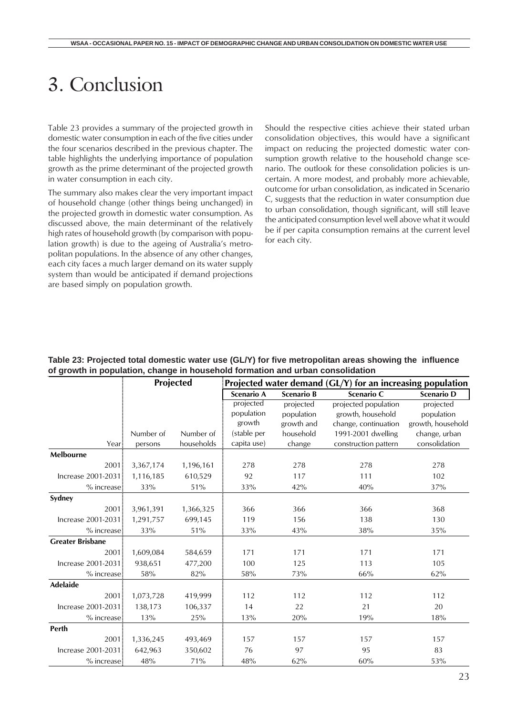# <span id="page-22-0"></span>3. Conclusion

Table 23 provides a summary of the projected growth in domestic water consumption in each of the five cities under the four scenarios described in the previous chapter. The table highlights the underlying importance of population growth as the prime determinant of the projected growth in water consumption in each city.

The summary also makes clear the very important impact of household change (other things being unchanged) in the projected growth in domestic water consumption. As discussed above, the main determinant of the relatively high rates of household growth (by comparison with population growth) is due to the ageing of Australia's metropolitan populations. In the absence of any other changes, each city faces a much larger demand on its water supply system than would be anticipated if demand projections are based simply on population growth.

Should the respective cities achieve their stated urban consolidation objectives, this would have a significant impact on reducing the projected domestic water consumption growth relative to the household change scenario. The outlook for these consolidation policies is uncertain. A more modest, and probably more achievable, outcome for urban consolidation, as indicated in Scenario C, suggests that the reduction in water consumption due to urban consolidation, though significant, will still leave the anticipated consumption level well above what it would be if per capita consumption remains at the current level for each city.

#### **Table 23: Projected total domestic water use (GL/Y) for five metropolitan areas showing the influence of growth in population, change in household formation and urban consolidation**

|                         |           | <b>Projected</b><br>Projected water demand $(GL/Y)$ for an increasing population |             |                   |                      |                   |  |  |
|-------------------------|-----------|----------------------------------------------------------------------------------|-------------|-------------------|----------------------|-------------------|--|--|
|                         |           |                                                                                  | Scenario A  | <b>Scenario B</b> | Scenario C           | Scenario D        |  |  |
|                         |           |                                                                                  | projected   | projected         | projected population | projected         |  |  |
|                         |           |                                                                                  | population  | population        | growth, household    | population        |  |  |
|                         |           |                                                                                  | growth      | growth and        | change, continuation | growth, household |  |  |
|                         | Number of | Number of                                                                        | (stable per | household         | 1991-2001 dwelling   | change, urban     |  |  |
| Year:                   | persons   | households                                                                       | capita use) | change            | construction pattern | consolidation     |  |  |
| Melbourne               |           |                                                                                  |             |                   |                      |                   |  |  |
| 2001                    | 3,367,174 | 1,196,161                                                                        | 278         | 278               | 278                  | 278               |  |  |
| Increase 2001-2031      | 1,116,185 | 610,529                                                                          | 92          | 117               | 111                  | 102               |  |  |
| % increase:             | 33%       | 51%                                                                              | 33%         | 42%               | 40%                  | 37%               |  |  |
| Sydney                  |           |                                                                                  |             |                   |                      |                   |  |  |
| 2001                    | 3,961,391 | 1,366,325                                                                        | 366         | 366               | 366                  | 368               |  |  |
| Increase 2001-2031      | 1,291,757 | 699,145                                                                          | 119         | 156               | 138                  | 130               |  |  |
| % increase:             | 33%       | 51%                                                                              | 33%         | 43%               | 38%                  | 35%               |  |  |
| <b>Greater Brisbane</b> |           |                                                                                  |             |                   |                      |                   |  |  |
| 2001                    | 1,609,084 | 584,659                                                                          | 171         | 171               | 171                  | 171               |  |  |
| Increase 2001-2031      | 938,651   | 477,200                                                                          | 100         | 125               | 113                  | 105               |  |  |
| $%$ increase            | 58%       | 82%                                                                              | 58%         | 73%               | 66%                  | 62%               |  |  |
| <b>Adelaide</b>         |           |                                                                                  |             |                   |                      |                   |  |  |
| 2001:                   | 1,073,728 | 419,999                                                                          | 112         | 112               | 112                  | 112               |  |  |
| Increase 2001-2031      | 138,173   | 106,337                                                                          | 14          | 22                | 21                   | 20                |  |  |
| % increase              | 13%       | 25%                                                                              | 13%         | 20%               | 19%                  | 18%               |  |  |
| Perth                   |           |                                                                                  |             |                   |                      |                   |  |  |
| 2001                    | 1,336,245 | 493,469                                                                          | 157         | 157               | 157                  | 157               |  |  |
| Increase 2001-2031      | 642,963   | 350,602                                                                          | 76          | 97                | 95                   | 83                |  |  |
| % increase:             | 48%       | 71%                                                                              | 48%         | 62%               | 60%                  | 53%               |  |  |